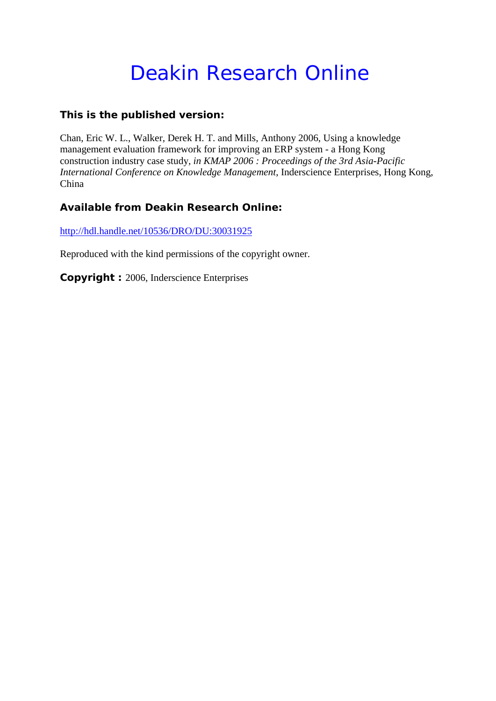# Deakin Research Online

# **This is the published version:**

Chan, Eric W. L., Walker, Derek H. T. and Mills, Anthony 2006, Using a knowledge management evaluation framework for improving an ERP system - a Hong Kong construction industry case study*, in KMAP 2006 : Proceedings of the 3rd Asia-Pacific International Conference on Knowledge Management*, Inderscience Enterprises, Hong Kong, China

# **Available from Deakin Research Online:**

<http://hdl.handle.net/10536/DRO/DU:30031925>

Reproduced with the kind permissions of the copyright owner.

**Copyright :** 2006, Inderscience Enterprises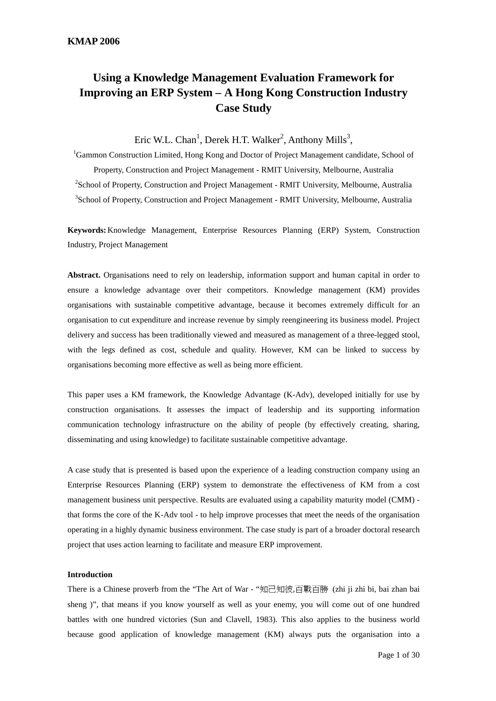# **Using a Knowledge Management Evaluation Framework for Improving an ERP System – A Hong Kong Construction Industry Case Study**

Eric W.L. Chan<sup>1</sup>, Derek H.T. Walker<sup>2</sup>, Anthony Mills<sup>3</sup>,

<sup>1</sup>Gammon Construction Limited, Hong Kong and Doctor of Project Management candidate, School of Property, Construction and Project Management - RMIT University, Melbourne, Australia <sup>2</sup> School of Property, Construction and Project Management - RMIT University, Melbourne, Australia <sup>3</sup>School of Property, Construction and Project Management - RMIT University, Melbourne, Australia

**Keywords:**Knowledge Management, Enterprise Resources Planning (ERP) System, Construction Industry, Project Management

**Abstract.** Organisations need to rely on leadership, information support and human capital in order to ensure a knowledge advantage over their competitors. Knowledge management (KM) provides organisations with sustainable competitive advantage, because it becomes extremely difficult for an organisation to cut expenditure and increase revenue by simply reengineering its business model. Project delivery and success has been traditionally viewed and measured as management of a three-legged stool, with the legs defined as cost, schedule and quality. However, KM can be linked to success by organisations becoming more effective as well as being more efficient.

This paper uses a KM framework, the Knowledge Advantage (K-Adv), developed initially for use by construction organisations. It assesses the impact of leadership and its supporting information communication technology infrastructure on the ability of people (by effectively creating, sharing, disseminating and using knowledge) to facilitate sustainable competitive advantage.

A case study that is presented is based upon the experience of a leading construction company using an Enterprise Resources Planning (ERP) system to demonstrate the effectiveness of KM from a cost management business unit perspective. Results are evaluated using a capability maturity model (CMM) that forms the core of the K-Adv tool - to help improve processes that meet the needs of the organisation operating in a highly dynamic business environment. The case study is part of a broader doctoral research project that uses action learning to facilitate and measure ERP improvement.

#### **Introduction**

There is a Chinese proverb from the "The Art of War - "知己知彼,百戰百勝 (zhi ji zhi bi, bai zhan bai sheng )", that means if you know yourself as well as your enemy, you will come out of one hundred battles with one hundred victories (Sun and Clavell, 1983). This also applies to the business world because good application of knowledge management (KM) always puts the organisation into a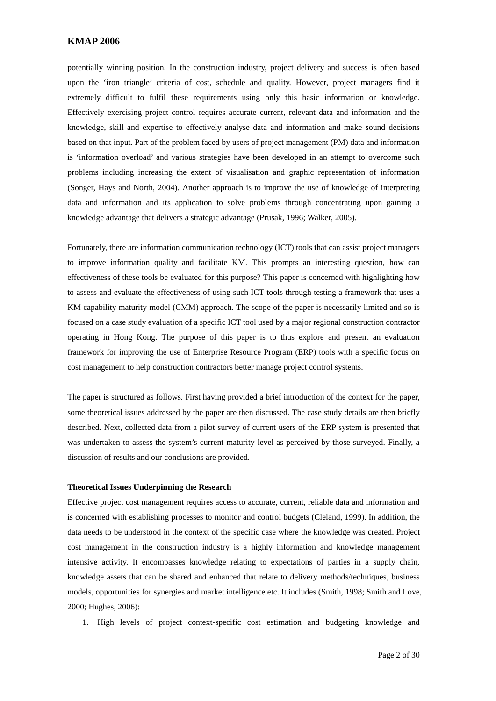potentially winning position. In the construction industry, project delivery and success is often based upon the 'iron triangle' criteria of cost, schedule and quality. However, project managers find it extremely difficult to fulfil these requirements using only this basic information or knowledge. Effectively exercising project control requires accurate current, relevant data and information and the knowledge, skill and expertise to effectively analyse data and information and make sound decisions based on that input. Part of the problem faced by users of project management (PM) data and information is 'information overload' and various strategies have been developed in an attempt to overcome such problems including increasing the extent of visualisation and graphic representation of information (Songer, Hays and North, 2004). Another approach is to improve the use of knowledge of interpreting data and information and its application to solve problems through concentrating upon gaining a knowledge advantage that delivers a strategic advantage (Prusak, 1996; Walker, 2005).

Fortunately, there are information communication technology (ICT) tools that can assist project managers to improve information quality and facilitate KM. This prompts an interesting question, how can effectiveness of these tools be evaluated for this purpose? This paper is concerned with highlighting how to assess and evaluate the effectiveness of using such ICT tools through testing a framework that uses a KM capability maturity model (CMM) approach. The scope of the paper is necessarily limited and so is focused on a case study evaluation of a specific ICT tool used by a major regional construction contractor operating in Hong Kong. The purpose of this paper is to thus explore and present an evaluation framework for improving the use of Enterprise Resource Program (ERP) tools with a specific focus on cost management to help construction contractors better manage project control systems.

The paper is structured as follows. First having provided a brief introduction of the context for the paper, some theoretical issues addressed by the paper are then discussed. The case study details are then briefly described. Next, collected data from a pilot survey of current users of the ERP system is presented that was undertaken to assess the system's current maturity level as perceived by those surveyed. Finally, a discussion of results and our conclusions are provided.

#### **Theoretical Issues Underpinning the Research**

Effective project cost management requires access to accurate, current, reliable data and information and is concerned with establishing processes to monitor and control budgets (Cleland, 1999). In addition, the data needs to be understood in the context of the specific case where the knowledge was created. Project cost management in the construction industry is a highly information and knowledge management intensive activity. It encompasses knowledge relating to expectations of parties in a supply chain, knowledge assets that can be shared and enhanced that relate to delivery methods/techniques, business models, opportunities for synergies and market intelligence etc. It includes (Smith, 1998; Smith and Love, 2000; Hughes, 2006):

1. High levels of project context-specific cost estimation and budgeting knowledge and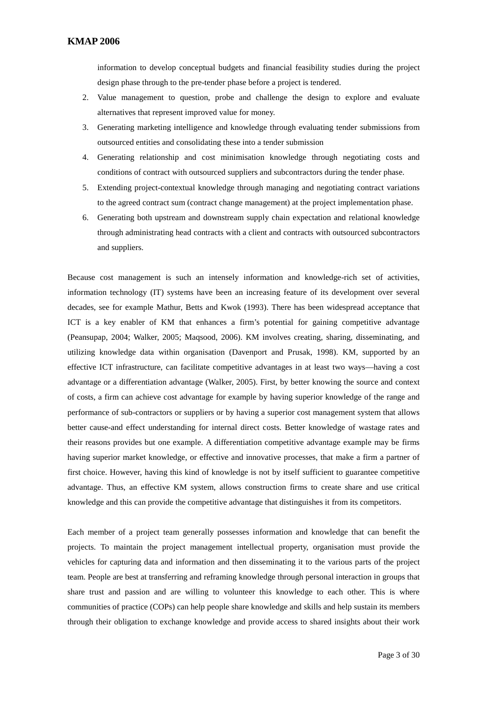information to develop conceptual budgets and financial feasibility studies during the project design phase through to the pre-tender phase before a project is tendered.

- 2. Value management to question, probe and challenge the design to explore and evaluate alternatives that represent improved value for money.
- 3. Generating marketing intelligence and knowledge through evaluating tender submissions from outsourced entities and consolidating these into a tender submission
- 4. Generating relationship and cost minimisation knowledge through negotiating costs and conditions of contract with outsourced suppliers and subcontractors during the tender phase.
- 5. Extending project-contextual knowledge through managing and negotiating contract variations to the agreed contract sum (contract change management) at the project implementation phase.
- 6. Generating both upstream and downstream supply chain expectation and relational knowledge through administrating head contracts with a client and contracts with outsourced subcontractors and suppliers.

Because cost management is such an intensely information and knowledge-rich set of activities, information technology (IT) systems have been an increasing feature of its development over several decades, see for example Mathur, Betts and Kwok (1993). There has been widespread acceptance that ICT is a key enabler of KM that enhances a firm's potential for gaining competitive advantage (Peansupap, 2004; Walker, 2005; Maqsood, 2006). KM involves creating, sharing, disseminating, and utilizing knowledge data within organisation (Davenport and Prusak, 1998). KM, supported by an effective ICT infrastructure, can facilitate competitive advantages in at least two ways—having a cost advantage or a differentiation advantage (Walker, 2005). First, by better knowing the source and context of costs, a firm can achieve cost advantage for example by having superior knowledge of the range and performance of sub-contractors or suppliers or by having a superior cost management system that allows better cause-and effect understanding for internal direct costs. Better knowledge of wastage rates and their reasons provides but one example. A differentiation competitive advantage example may be firms having superior market knowledge, or effective and innovative processes, that make a firm a partner of first choice. However, having this kind of knowledge is not by itself sufficient to guarantee competitive advantage. Thus, an effective KM system, allows construction firms to create share and use critical knowledge and this can provide the competitive advantage that distinguishes it from its competitors.

Each member of a project team generally possesses information and knowledge that can benefit the projects. To maintain the project management intellectual property, organisation must provide the vehicles for capturing data and information and then disseminating it to the various parts of the project team. People are best at transferring and reframing knowledge through personal interaction in groups that share trust and passion and are willing to volunteer this knowledge to each other. This is where communities of practice (COPs) can help people share knowledge and skills and help sustain its members through their obligation to exchange knowledge and provide access to shared insights about their work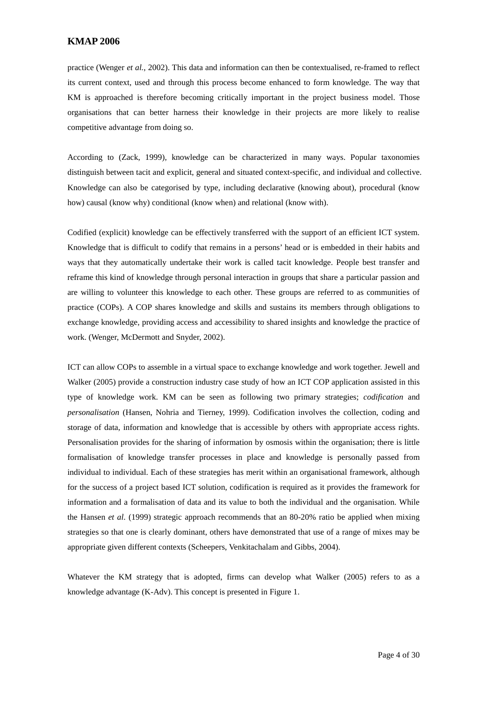practice (Wenger *et al.*, 2002). This data and information can then be contextualised, re-framed to reflect its current context, used and through this process become enhanced to form knowledge. The way that KM is approached is therefore becoming critically important in the project business model. Those organisations that can better harness their knowledge in their projects are more likely to realise competitive advantage from doing so.

According to (Zack, 1999), knowledge can be characterized in many ways. Popular taxonomies distinguish between tacit and explicit, general and situated context-specific, and individual and collective. Knowledge can also be categorised by type, including declarative (knowing about), procedural (know how) causal (know why) conditional (know when) and relational (know with).

Codified (explicit) knowledge can be effectively transferred with the support of an efficient ICT system. Knowledge that is difficult to codify that remains in a persons' head or is embedded in their habits and ways that they automatically undertake their work is called tacit knowledge. People best transfer and reframe this kind of knowledge through personal interaction in groups that share a particular passion and are willing to volunteer this knowledge to each other. These groups are referred to as communities of practice (COPs). A COP shares knowledge and skills and sustains its members through obligations to exchange knowledge, providing access and accessibility to shared insights and knowledge the practice of work. (Wenger, McDermott and Snyder, 2002).

ICT can allow COPs to assemble in a virtual space to exchange knowledge and work together. Jewell and Walker (2005) provide a construction industry case study of how an ICT COP application assisted in this type of knowledge work. KM can be seen as following two primary strategies; *codification* and *personalisation* (Hansen, Nohria and Tierney, 1999). Codification involves the collection, coding and storage of data, information and knowledge that is accessible by others with appropriate access rights. Personalisation provides for the sharing of information by osmosis within the organisation; there is little formalisation of knowledge transfer processes in place and knowledge is personally passed from individual to individual. Each of these strategies has merit within an organisational framework, although for the success of a project based ICT solution, codification is required as it provides the framework for information and a formalisation of data and its value to both the individual and the organisation. While the Hansen *et al*. (1999) strategic approach recommends that an 80-20% ratio be applied when mixing strategies so that one is clearly dominant, others have demonstrated that use of a range of mixes may be appropriate given different contexts (Scheepers, Venkitachalam and Gibbs, 2004).

Whatever the KM strategy that is adopted, firms can develop what Walker (2005) refers to as a knowledge advantage (K-Adv). This concept is presented in [Figure 1.](#page-5-0)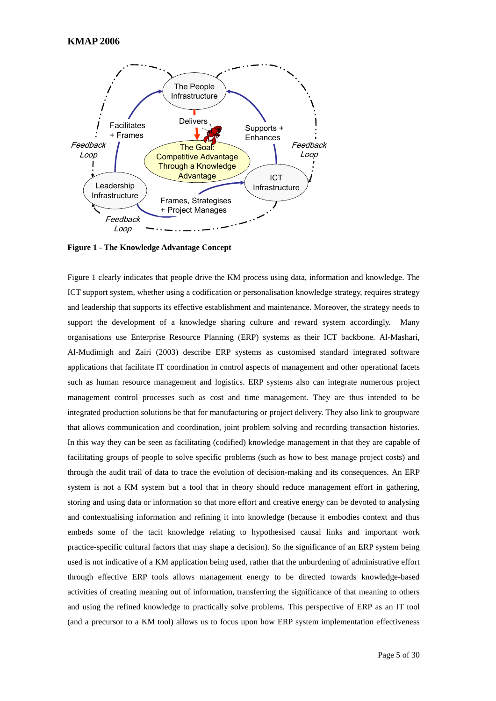

<span id="page-5-0"></span>**Figure 1 - The Knowledge Advantage Concept**

[Figure 1](#page-5-0) clearly indicates that people drive the KM process using data, information and knowledge. The ICT support system, whether using a codification or personalisation knowledge strategy, requires strategy and leadership that supports its effective establishment and maintenance. Moreover, the strategy needs to support the development of a knowledge sharing culture and reward system accordingly. Many organisations use Enterprise Resource Planning (ERP) systems as their ICT backbone. Al-Mashari, Al-Mudimigh and Zairi (2003) describe ERP systems as customised standard integrated software applications that facilitate IT coordination in control aspects of management and other operational facets such as human resource management and logistics. ERP systems also can integrate numerous project management control processes such as cost and time management. They are thus intended to be integrated production solutions be that for manufacturing or project delivery. They also link to groupware that allows communication and coordination, joint problem solving and recording transaction histories. In this way they can be seen as facilitating (codified) knowledge management in that they are capable of facilitating groups of people to solve specific problems (such as how to best manage project costs) and through the audit trail of data to trace the evolution of decision-making and its consequences. An ERP system is not a KM system but a tool that in theory should reduce management effort in gathering, storing and using data or information so that more effort and creative energy can be devoted to analysing and contextualising information and refining it into knowledge (because it embodies context and thus embeds some of the tacit knowledge relating to hypothesised causal links and important work practice-specific cultural factors that may shape a decision). So the significance of an ERP system being used is not indicative of a KM application being used, rather that the unburdening of administrative effort through effective ERP tools allows management energy to be directed towards knowledge-based activities of creating meaning out of information, transferring the significance of that meaning to others and using the refined knowledge to practically solve problems. This perspective of ERP as an IT tool (and a precursor to a KM tool) allows us to focus upon how ERP system implementation effectiveness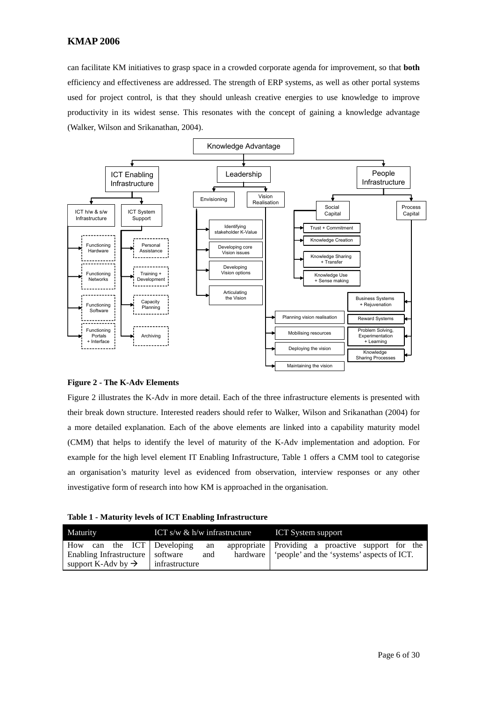can facilitate KM initiatives to grasp space in a crowded corporate agenda for improvement, so that **both** efficiency and effectiveness are addressed. The strength of ERP systems, as well as other portal systems used for project control, is that they should unleash creative energies to use knowledge to improve productivity in its widest sense. This resonates with the concept of gaining a knowledge advantage (Walker, Wilson and Srikanathan, 2004).



#### <span id="page-6-0"></span>**Figure 2 - The K-Adv Elements**

[Figure 2](#page-6-0) illustrates the K-Adv in more detail. Each of the three infrastructure elements is presented with their break down structure. Interested readers should refer to Walker, Wilson and Srikanathan (2004) for a more detailed explanation. Each of the above elements are linked into a capability maturity model (CMM) that helps to identify the level of maturity of the K-Adv implementation and adoption. For example for the high level element IT Enabling Infrastructure, [Table 1](#page-6-1) offers a CMM tool to categorise an organisation's maturity level as evidenced from observation, interview responses or any other investigative form of research into how KM is approached in the organisation.

<span id="page-6-1"></span>**Table 1 - Maturity levels of ICT Enabling Infrastructure**

| Maturity                                                  |  | ICT s/w $\&$ h/w infrastructure                          |           | <b>ICT System support</b>                                                                                  |  |  |  |  |  |  |  |
|-----------------------------------------------------------|--|----------------------------------------------------------|-----------|------------------------------------------------------------------------------------------------------------|--|--|--|--|--|--|--|
| Enabling Infrastructure<br>support K-Adv by $\rightarrow$ |  | How can the ICT Developing<br>software<br>infrastructure | an<br>and | appropriate Providing a proactive support for the<br>hardware   'people' and the 'systems' aspects of ICT. |  |  |  |  |  |  |  |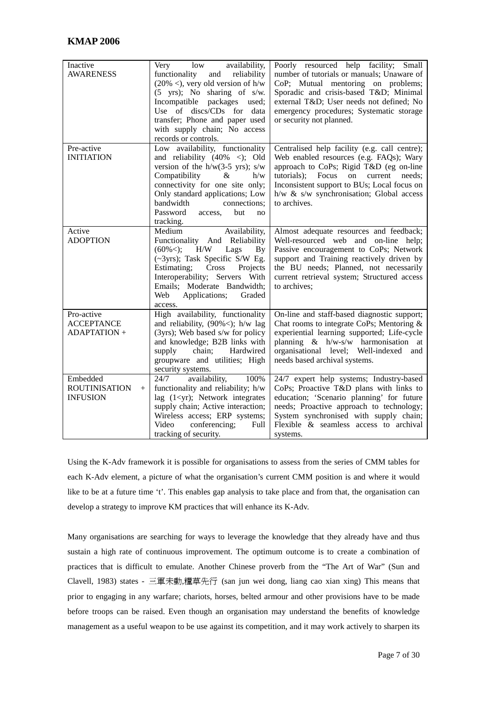| Inactive<br><b>AWARENESS</b>                               | low<br>availability,<br>Very<br>functionality<br>and reliability<br>$(20\% <)$ , very old version of h/w<br>$(5 \text{ yrs})$ ; No sharing of s/w.<br>packages used;<br>Incompatible<br>Use of discs/CDs for data<br>transfer; Phone and paper used<br>with supply chain; No access<br>records or controls. | Poorly resourced help facility; Small<br>number of tutorials or manuals; Unaware of<br>CoP; Mutual mentoring on problems;<br>Sporadic and crisis-based T&D Minimal<br>external T&D User needs not defined; No<br>emergency procedures; Systematic storage<br>or security not planned.    |
|------------------------------------------------------------|-------------------------------------------------------------------------------------------------------------------------------------------------------------------------------------------------------------------------------------------------------------------------------------------------------------|------------------------------------------------------------------------------------------------------------------------------------------------------------------------------------------------------------------------------------------------------------------------------------------|
| Pre-active<br><b>INITIATION</b>                            | Low availability, functionality<br>and reliability $(40\% \lt)$ ; Old<br>version of the $h/w(3-5 yrs)$ ; s/w<br>Compatibility<br>&<br>h/w<br>connectivity for one site only;<br>Only standard applications; Low<br>bandwidth<br>connections;<br>Password<br>but<br>access,<br>no<br>tracking.               | Centralised help facility (e.g. call centre);<br>Web enabled resources (e.g. FAQs); Wary<br>approach to CoPs; Rigid T&D (eg on-line<br>tutorials); Focus on current needs;<br>Inconsistent support to BUs; Local focus on<br>$h/w \& s/w$ synchronisation; Global access<br>to archives. |
| Active<br><b>ADOPTION</b>                                  | Availability,<br>Medium<br>Functionality And Reliability<br>Lags<br>$(60\%<);$<br>H/W<br>By<br>(~3yrs); Task Specific S/W Eg.<br>Projects<br>Estimating;<br>Cross<br>Interoperability; Servers With<br>Emails; Moderate Bandwidth;<br>Applications;<br>Web<br>Graded<br>access.                             | Almost adequate resources and feedback;<br>Well-resourced web and on-line help;<br>Passive encouragement to CoPs; Network<br>support and Training reactively driven by<br>the BU needs; Planned, not necessarily<br>current retrieval system; Structured access<br>to archives;          |
| Pro-active<br><b>ACCEPTANCE</b><br><b>ADAPTATION +</b>     | High availability, functionality<br>and reliability, $(90\%<)$ ; h/w lag<br>(3yrs); Web based s/w for policy<br>and knowledge; B2B links with<br>chain;<br>Hardwired<br>supply<br>groupware and utilities; High<br>security systems.                                                                        | On-line and staff-based diagnostic support;<br>Chat rooms to integrate CoPs; Mentoring &<br>experiential learning supported; Life-cycle<br>planning & h/w-s/w harmonisation at<br>organisational level; Well-indexed<br>and<br>needs based archival systems.                             |
| Embedded<br><b>ROUTINISATION</b><br>$+$<br><b>INFUSION</b> | 24/7<br>availability,<br>100%<br>functionality and reliability; h/w<br>lag $(1<\gamma r)$ ; Network integrates<br>supply chain; Active interaction;<br>Wireless access; ERP systems;<br>conferencing;<br>Video<br>Full<br>tracking of security.                                                             | 24/7 expert help systems; Industry-based<br>CoPs; Proactive T&D plans with links to<br>education; 'Scenario planning' for future<br>needs; Proactive approach to technology;<br>System synchronised with supply chain;<br>Flexible & seamless access to archival<br>systems.             |

Using the K-Adv framework it is possible for organisations to assess from the series of CMM tables for each K-Adv element, a picture of what the organisation's current CMM position is and where it would like to be at a future time 't'. This enables gap analysis to take place and from that, the organisation can develop a strategy to improve KM practices that will enhance its K-Adv.

Many organisations are searching for ways to leverage the knowledge that they already have and thus sustain a high rate of continuous improvement. The optimum outcome is to create a combination of practices that is difficult to emulate. Another Chinese proverb from the "The Art of War" (Sun and Clavell, 1983) states - 三軍未動,糧草先行 (san jun wei dong, liang cao xian xing) This means that prior to engaging in any warfare; chariots, horses, belted armour and other provisions have to be made before troops can be raised. Even though an organisation may understand the benefits of knowledge management as a useful weapon to be use against its competition, and it may work actively to sharpen its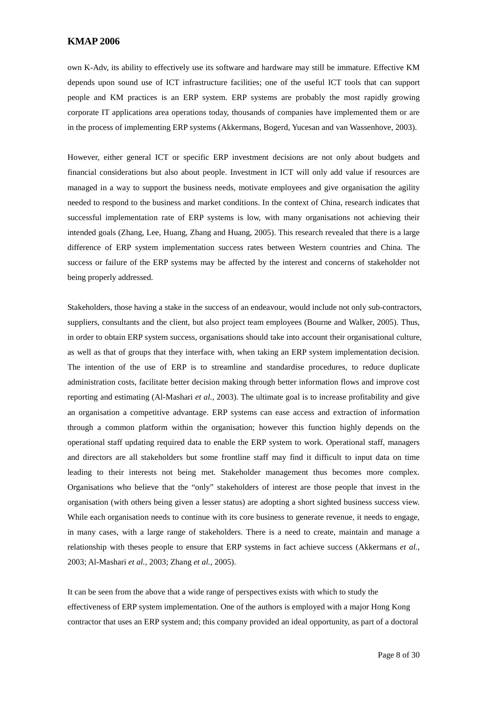own K-Adv, its ability to effectively use its software and hardware may still be immature. Effective KM depends upon sound use of ICT infrastructure facilities; one of the useful ICT tools that can support people and KM practices is an ERP system. ERP systems are probably the most rapidly growing corporate IT applications area operations today, thousands of companies have implemented them or are in the process of implementing ERP systems (Akkermans, Bogerd, Yucesan and van Wassenhove, 2003).

However, either general ICT or specific ERP investment decisions are not only about budgets and financial considerations but also about people. Investment in ICT will only add value if resources are managed in a way to support the business needs, motivate employees and give organisation the agility needed to respond to the business and market conditions. In the context of China, research indicates that successful implementation rate of ERP systems is low, with many organisations not achieving their intended goals (Zhang, Lee, Huang, Zhang and Huang, 2005). This research revealed that there is a large difference of ERP system implementation success rates between Western countries and China. The success or failure of the ERP systems may be affected by the interest and concerns of stakeholder not being properly addressed.

Stakeholders, those having a stake in the success of an endeavour, would include not only sub-contractors, suppliers, consultants and the client, but also project team employees (Bourne and Walker, 2005). Thus, in order to obtain ERP system success, organisations should take into account their organisational culture, as well as that of groups that they interface with, when taking an ERP system implementation decision. The intention of the use of ERP is to streamline and standardise procedures, to reduce duplicate administration costs, facilitate better decision making through better information flows and improve cost reporting and estimating (Al-Mashari *et al.*, 2003). The ultimate goal is to increase profitability and give an organisation a competitive advantage. ERP systems can ease access and extraction of information through a common platform within the organisation; however this function highly depends on the operational staff updating required data to enable the ERP system to work. Operational staff, managers and directors are all stakeholders but some frontline staff may find it difficult to input data on time leading to their interests not being met. Stakeholder management thus becomes more complex. Organisations who believe that the "only" stakeholders of interest are those people that invest in the organisation (with others being given a lesser status) are adopting a short sighted business success view. While each organisation needs to continue with its core business to generate revenue, it needs to engage, in many cases, with a large range of stakeholders. There is a need to create, maintain and manage a relationship with theses people to ensure that ERP systems in fact achieve success (Akkermans *et al.*, 2003; Al-Mashari *et al.*, 2003; Zhang *et al.*, 2005).

It can be seen from the above that a wide range of perspectives exists with which to study the effectiveness of ERP system implementation. One of the authors is employed with a major Hong Kong contractor that uses an ERP system and; this company provided an ideal opportunity, as part of a doctoral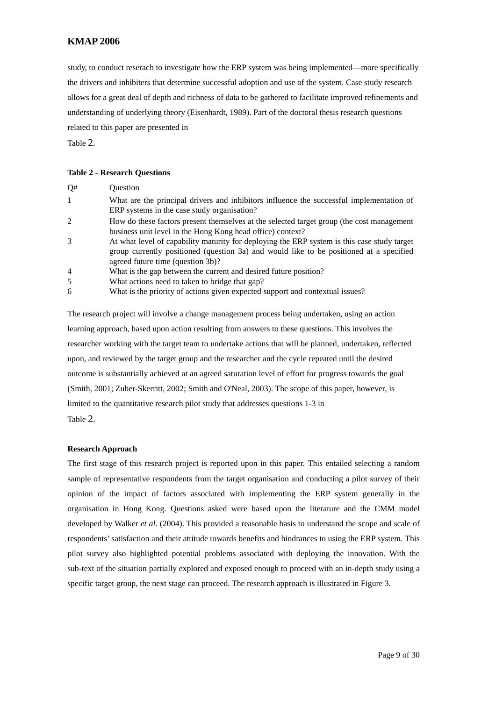study, to conduct reserach to investigate how the ERP system was being implemented—more specifically the drivers and inhibiters that determine successful adoption and use of the system. Case study research allows for a great deal of depth and richness of data to be gathered to facilitate improved refinements and understanding of underlying theory (Eisenhardt, 1989). Part of the doctoral thesis research questions related to this paper are presented in [Table](#page-9-0) 2.

#### <span id="page-9-0"></span>**Table 2 - Research Questions**

|                | What are the principal drivers and inhibitors influence the successful implementation of<br>ERP systems in the case study organisation? |
|----------------|-----------------------------------------------------------------------------------------------------------------------------------------|
| 2              | How do these factors present themselves at the selected target group (the cost management                                               |
|                | business unit level in the Hong Kong head office) context?                                                                              |
| 3              | At what level of capability maturity for deploying the ERP system is this case study target                                             |
|                | group currently positioned (question 3a) and would like to be positioned at a specified                                                 |
|                | agreed future time (question 3b)?                                                                                                       |
| $\overline{4}$ | What is the gap between the current and desired future position?                                                                        |
| .5             | What actions need to taken to bridge that gap?                                                                                          |
| 6              | What is the priority of actions given expected support and contextual issues?                                                           |

The research project will involve a change management process being undertaken, using an action learning approach, based upon action resulting from answers to these questions. This involves the researcher working with the target team to undertake actions that will be planned, undertaken, reflected upon, and reviewed by the target group and the researcher and the cycle repeated until the desired outcome is substantially achieved at an agreed saturation level of effort for progress towards the goal (Smith, 2001; Zuber-Skerritt, 2002; Smith and O'Neal, 2003). The scope of this paper, however, is limited to the quantitative research pilot study that addresses questions 1-3 in [Table 2.](#page-9-0)

#### **Research Approach**

The first stage of this research project is reported upon in this paper. This entailed selecting a random sample of representative respondents from the target organisation and conducting a pilot survey of their opinion of the impact of factors associated with implementing the ERP system generally in the organisation in Hong Kong. Questions asked were based upon the literature and the CMM model developed by Walker *et al*. (2004). This provided a reasonable basis to understand the scope and scale of respondents' satisfaction and their attitude towards benefits and hindrances to using the ERP system. This pilot survey also highlighted potential problems associated with deploying the innovation. With the sub-text of the situation partially explored and exposed enough to proceed with an in-depth study using a specific target group, the next stage can proceed. The research approach is illustrated in [Figure 3.](#page-10-0)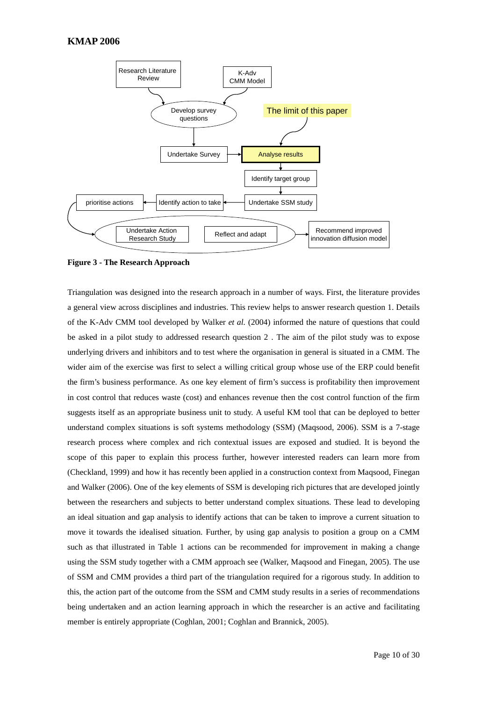

<span id="page-10-0"></span>**Figure 3 - The Research Approach**

Triangulation was designed into the research approach in a number of ways. First, the literature provides a general view across disciplines and industries. This review helps to answer research question 1. Details of the K-Adv CMM tool developed by Walker *et al.* (2004) informed the nature of questions that could be asked in a pilot study to addressed research question 2 . The aim of the pilot study was to expose underlying drivers and inhibitors and to test where the organisation in general is situated in a CMM. The wider aim of the exercise was first to select a willing critical group whose use of the ERP could benefit the firm's business performance. As one key element of firm's success is profitability then improvement in cost control that reduces waste (cost) and enhances revenue then the cost control function of the firm suggests itself as an appropriate business unit to study. A useful KM tool that can be deployed to better understand complex situations is soft systems methodology (SSM) (Maqsood, 2006). SSM is a 7-stage research process where complex and rich contextual issues are exposed and studied. It is beyond the scope of this paper to explain this process further, however interested readers can learn more from (Checkland, 1999) and how it has recently been applied in a construction context from Maqsood, Finegan and Walker (2006). One of the key elements of SSM is developing rich pictures that are developed jointly between the researchers and subjects to better understand complex situations. These lead to developing an ideal situation and gap analysis to identify actions that can be taken to improve a current situation to move it towards the idealised situation. Further, by using gap analysis to position a group on a CMM such as that illustrated in [Table 1](#page-6-1) actions can be recommended for improvement in making a change using the SSM study together with a CMM approach see (Walker, Maqsood and Finegan, 2005). The use of SSM and CMM provides a third part of the triangulation required for a rigorous study. In addition to this, the action part of the outcome from the SSM and CMM study results in a series of recommendations being undertaken and an action learning approach in which the researcher is an active and facilitating member is entirely appropriate (Coghlan, 2001; Coghlan and Brannick, 2005).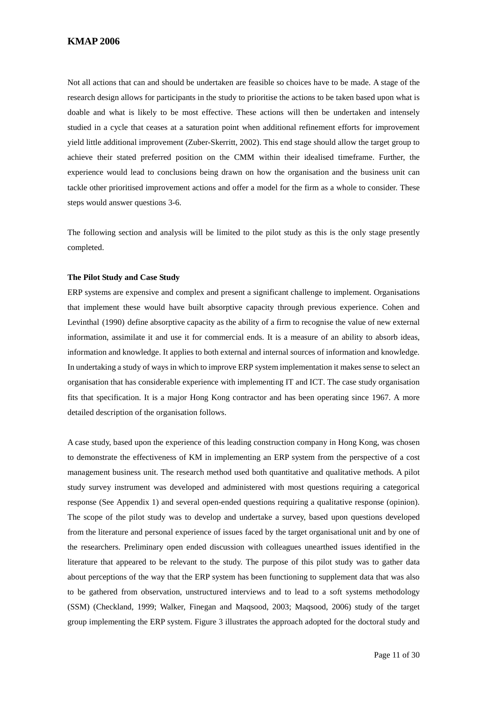Not all actions that can and should be undertaken are feasible so choices have to be made. A stage of the research design allows for participants in the study to prioritise the actions to be taken based upon what is doable and what is likely to be most effective. These actions will then be undertaken and intensely studied in a cycle that ceases at a saturation point when additional refinement efforts for improvement yield little additional improvement (Zuber-Skerritt, 2002). This end stage should allow the target group to achieve their stated preferred position on the CMM within their idealised timeframe. Further, the experience would lead to conclusions being drawn on how the organisation and the business unit can tackle other prioritised improvement actions and offer a model for the firm as a whole to consider. These steps would answer questions 3-6.

The following section and analysis will be limited to the pilot study as this is the only stage presently completed.

#### **The Pilot Study and Case Study**

ERP systems are expensive and complex and present a significant challenge to implement. Organisations that implement these would have built absorptive capacity through previous experience. Cohen and Levinthal (1990) define absorptive capacity as the ability of a firm to recognise the value of new external information, assimilate it and use it for commercial ends. It is a measure of an ability to absorb ideas, information and knowledge. It applies to both external and internal sources of information and knowledge. In undertaking a study of ways in which to improve ERP system implementation it makes sense to select an organisation that has considerable experience with implementing IT and ICT. The case study organisation fits that specification. It is a major Hong Kong contractor and has been operating since 1967. A more detailed description of the organisation follows.

A case study, based upon the experience of this leading construction company in Hong Kong, was chosen to demonstrate the effectiveness of KM in implementing an ERP system from the perspective of a cost management business unit. The research method used both quantitative and qualitative methods. A pilot study survey instrument was developed and administered with most questions requiring a categorical response (See Appendix 1) and several open-ended questions requiring a qualitative response (opinion). The scope of the pilot study was to develop and undertake a survey, based upon questions developed from the literature and personal experience of issues faced by the target organisational unit and by one of the researchers. Preliminary open ended discussion with colleagues unearthed issues identified in the literature that appeared to be relevant to the study. The purpose of this pilot study was to gather data about perceptions of the way that the ERP system has been functioning to supplement data that was also to be gathered from observation, unstructured interviews and to lead to a soft systems methodology (SSM) (Checkland, 1999; Walker, Finegan and Maqsood, 2003; Maqsood, 2006) study of the target group implementing the ERP system. [Figure 3](#page-10-0) illustrates the approach adopted for the doctoral study and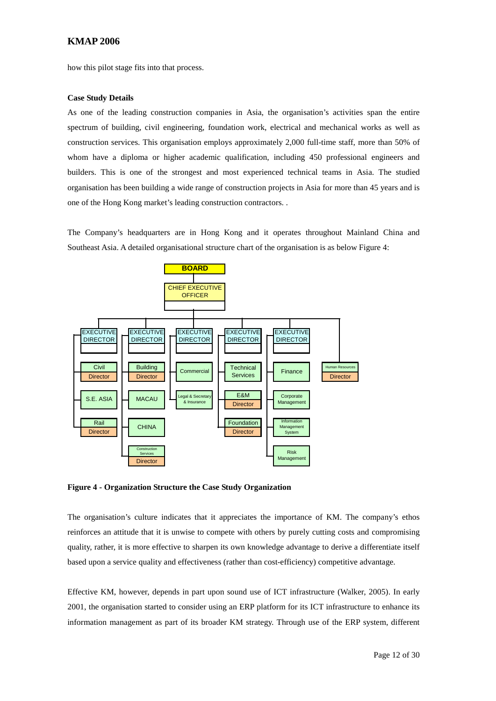how this pilot stage fits into that process.

#### **Case Study Details**

As one of the leading construction companies in Asia, the organisation's activities span the entire spectrum of building, civil engineering, foundation work, electrical and mechanical works as well as construction services. This organisation employs approximately 2,000 full-time staff, more than 50% of whom have a diploma or higher academic qualification, including 450 professional engineers and builders. This is one of the strongest and most experienced technical teams in Asia. The studied organisation has been building a wide range of construction projects in Asia for more than 45 years and is one of the Hong Kong market's leading construction contractors. .

The Company's headquarters are in Hong Kong and it operates throughout Mainland China and Southeast Asia. A detailed organisational structure chart of the organisation is as below Figure 4:



**Figure 4 - Organization Structure the Case Study Organization**

The organisation's culture indicates that it appreciates the importance of KM. The company's ethos reinforces an attitude that it is unwise to compete with others by purely cutting costs and compromising quality, rather, it is more effective to sharpen its own knowledge advantage to derive a differentiate itself based upon a service quality and effectiveness (rather than cost-efficiency) competitive advantage.

Effective KM, however, depends in part upon sound use of ICT infrastructure (Walker, 2005). In early 2001, the organisation started to consider using an ERP platform for its ICT infrastructure to enhance its information management as part of its broader KM strategy. Through use of the ERP system, different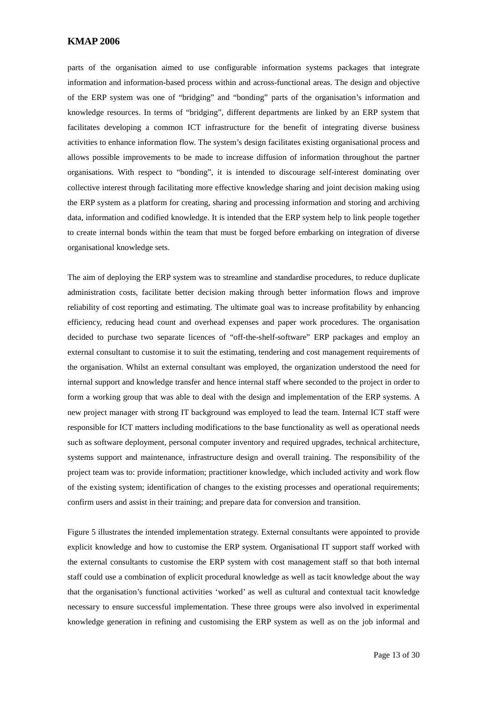parts of the organisation aimed to use configurable information systems packages that integrate information and information-based process within and across-functional areas. The design and objective of the ERP system was one of "bridging" and "bonding" parts of the organisation's information and knowledge resources. In terms of "bridging", different departments are linked by an ERP system that facilitates developing a common ICT infrastructure for the benefit of integrating diverse business activities to enhance information flow. The system's design facilitates existing organisational process and allows possible improvements to be made to increase diffusion of information throughout the partner organisations. With respect to "bonding", it is intended to discourage self-interest dominating over collective interest through facilitating more effective knowledge sharing and joint decision making using the ERP system as a platform for creating, sharing and processing information and storing and archiving data, information and codified knowledge. It is intended that the ERP system help to link people together to create internal bonds within the team that must be forged before embarking on integration of diverse organisational knowledge sets.

The aim of deploying the ERP system was to streamline and standardise procedures, to reduce duplicate administration costs, facilitate better decision making through better information flows and improve reliability of cost reporting and estimating. The ultimate goal was to increase profitability by enhancing efficiency, reducing head count and overhead expenses and paper work procedures. The organisation decided to purchase two separate licences of "off-the-shelf-software" ERP packages and employ an external consultant to customise it to suit the estimating, tendering and cost management requirements of the organisation. Whilst an external consultant was employed, the organization understood the need for internal support and knowledge transfer and hence internal staff where seconded to the project in order to form a working group that was able to deal with the design and implementation of the ERP systems. A new project manager with strong IT background was employed to lead the team. Internal ICT staff were responsible for ICT matters including modifications to the base functionality as well as operational needs such as software deployment, personal computer inventory and required upgrades, technical architecture, systems support and maintenance, infrastructure design and overall training. The responsibility of the project team was to: provide information; practitioner knowledge, which included activity and work flow of the existing system; identification of changes to the existing processes and operational requirements; confirm users and assist in their training; and prepare data for conversion and transition.

[Figure 5](#page-14-0) illustrates the intended implementation strategy. External consultants were appointed to provide explicit knowledge and how to customise the ERP system. Organisational IT support staff worked with the external consultants to customise the ERP system with cost management staff so that both internal staff could use a combination of explicit procedural knowledge as well as tacit knowledge about the way that the organisation's functional activities 'worked' as well as cultural and contextual tacit knowledge necessary to ensure successful implementation. These three groups were also involved in experimental knowledge generation in refining and customising the ERP system as well as on the job informal and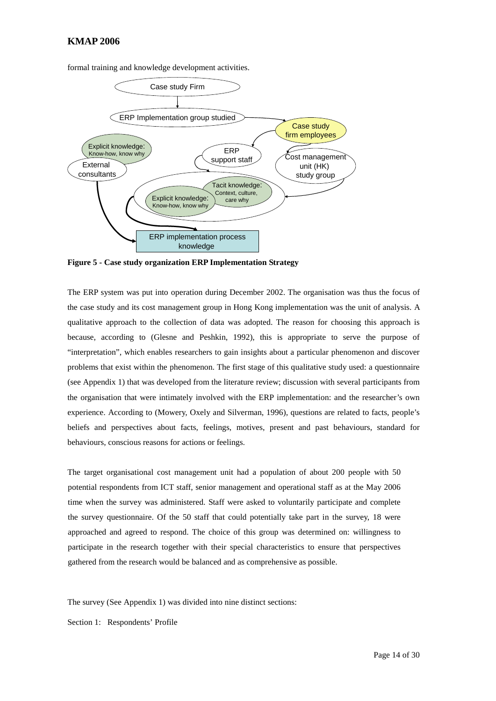

formal training and knowledge development activities.

<span id="page-14-0"></span>**Figure 5 - Case study organization ERP Implementation Strategy**

The ERP system was put into operation during December 2002. The organisation was thus the focus of the case study and its cost management group in Hong Kong implementation was the unit of analysis. A qualitative approach to the collection of data was adopted. The reason for choosing this approach is because, according to (Glesne and Peshkin, 1992), this is appropriate to serve the purpose of "interpretation", which enables researchers to gain insights about a particular phenomenon and discover problems that exist within the phenomenon. The first stage of this qualitative study used: a questionnaire (see Appendix 1) that was developed from the literature review; discussion with several participants from the organisation that were intimately involved with the ERP implementation: and the researcher's own experience. According to (Mowery, Oxely and Silverman, 1996), questions are related to facts, people's beliefs and perspectives about facts, feelings, motives, present and past behaviours, standard for behaviours, conscious reasons for actions or feelings.

The target organisational cost management unit had a population of about 200 people with 50 potential respondents from ICT staff, senior management and operational staff as at the May 2006 time when the survey was administered. Staff were asked to voluntarily participate and complete the survey questionnaire. Of the 50 staff that could potentially take part in the survey, 18 were approached and agreed to respond. The choice of this group was determined on: willingness to participate in the research together with their special characteristics to ensure that perspectives gathered from the research would be balanced and as comprehensive as possible.

The survey (See Appendix 1) was divided into nine distinct sections:

Section 1: Respondents' Profile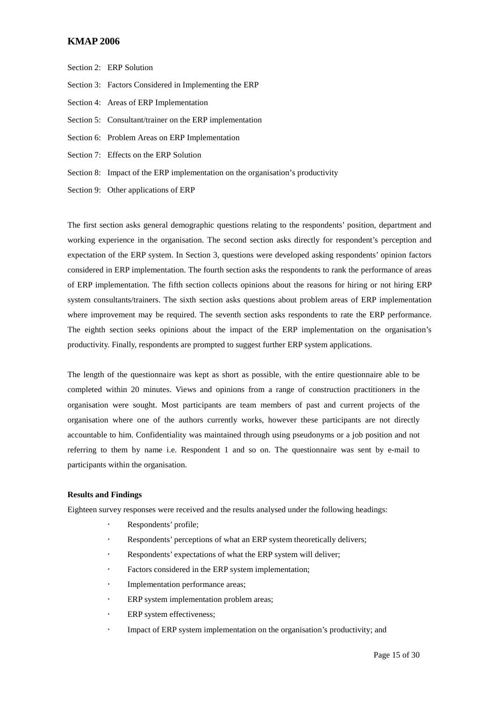- Section 2: ERP Solution
- Section 3: Factors Considered in Implementing the ERP
- Section 4: Areas of ERP Implementation
- Section 5: Consultant/trainer on the ERP implementation
- Section 6: Problem Areas on ERP Implementation
- Section 7: Effects on the ERP Solution
- Section 8: Impact of the ERP implementation on the organisation's productivity
- Section 9: Other applications of ERP

The first section asks general demographic questions relating to the respondents' position, department and working experience in the organisation. The second section asks directly for respondent's perception and expectation of the ERP system. In Section 3, questions were developed asking respondents' opinion factors considered in ERP implementation. The fourth section asks the respondents to rank the performance of areas of ERP implementation. The fifth section collects opinions about the reasons for hiring or not hiring ERP system consultants/trainers. The sixth section asks questions about problem areas of ERP implementation where improvement may be required. The seventh section asks respondents to rate the ERP performance. The eighth section seeks opinions about the impact of the ERP implementation on the organisation's productivity. Finally, respondents are prompted to suggest further ERP system applications.

The length of the questionnaire was kept as short as possible, with the entire questionnaire able to be completed within 20 minutes. Views and opinions from a range of construction practitioners in the organisation were sought. Most participants are team members of past and current projects of the organisation where one of the authors currently works, however these participants are not directly accountable to him. Confidentiality was maintained through using pseudonyms or a job position and not referring to them by name i.e. Respondent 1 and so on. The questionnaire was sent by e-mail to participants within the organisation.

#### **Results and Findings**

Eighteen survey responses were received and the results analysed under the following headings:

- Respondents' profile;
- Respondents' perceptions of what an ERP system theoretically delivers;
- Respondents' expectations of what the ERP system will deliver;
- Factors considered in the ERP system implementation;
- Implementation performance areas;
- ERP system implementation problem areas;
- ERP system effectiveness;
- Impact of ERP system implementation on the organisation's productivity; and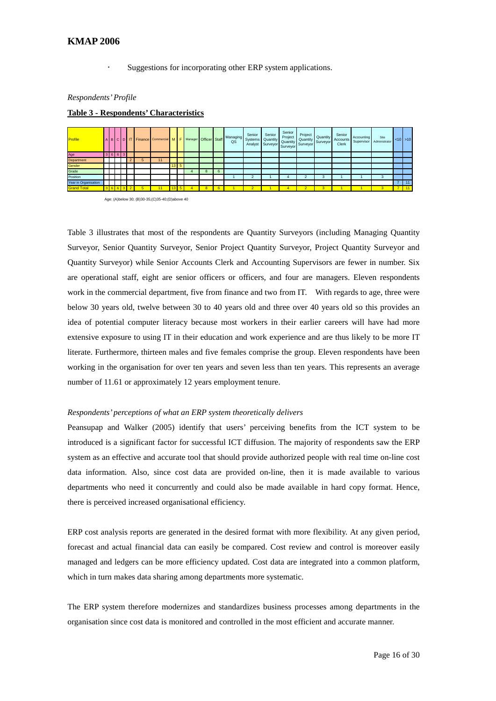Suggestions for incorporating other ERP system applications.

#### *Respondents' Profile*

#### **Table 3 - Respondents' Characteristics**

| Profile              |  |                 |   |    |                 |             |   | BCDITFinance Commercial MF Manager Officer Staff Managing | Senior<br>Analyst Surveyor Surveyor | Senior<br>Systems Quantity | Senior<br>Project<br>Quantity Surveyor | Project | Quantity<br>Quantity Surveyor | Senior<br>Accounts<br><b>Clerk</b> | Accounting | Site<br>Supervisor Administrator | $< 10$ > 10      |
|----------------------|--|-----------------|---|----|-----------------|-------------|---|-----------------------------------------------------------|-------------------------------------|----------------------------|----------------------------------------|---------|-------------------------------|------------------------------------|------------|----------------------------------|------------------|
| Age                  |  | $3 \t6 \t6 \t3$ |   |    |                 |             |   |                                                           |                                     |                            |                                        |         |                               |                                    |            |                                  |                  |
| Department           |  |                 |   | 11 |                 |             |   |                                                           |                                     |                            |                                        |         |                               |                                    |            |                                  |                  |
| Gender               |  |                 |   |    |                 | $13 \mid 5$ |   |                                                           |                                     |                            |                                        |         |                               |                                    |            |                                  |                  |
| Grade                |  |                 |   |    |                 |             | 8 |                                                           |                                     |                            |                                        |         |                               |                                    |            |                                  |                  |
| Position             |  |                 |   |    |                 |             |   |                                                           |                                     |                            | 4                                      |         | з                             |                                    |            | 3                                |                  |
| Year in Organisation |  |                 |   |    |                 |             |   |                                                           |                                     |                            |                                        |         |                               |                                    |            |                                  | 11               |
| <b>Grand Total</b>   |  | 3 6 6 3         | 5 |    | 13 <sub>h</sub> |             | 8 |                                                           | $\overline{2}$                      |                            | 4.                                     | 2       | 3                             |                                    |            | 3                                | $\overline{111}$ |

Age: (A)below 30; (B)30-35;(C)35-40;(D)above 40

Table 3 illustrates that most of the respondents are Quantity Surveyors (including Managing Quantity Surveyor, Senior Quantity Surveyor, Senior Project Quantity Surveyor, Project Quantity Surveyor and Quantity Surveyor) while Senior Accounts Clerk and Accounting Supervisors are fewer in number. Six are operational staff, eight are senior officers or officers, and four are managers. Eleven respondents work in the commercial department, five from finance and two from IT. With regards to age, three were below 30 years old, twelve between 30 to 40 years old and three over 40 years old so this provides an idea of potential computer literacy because most workers in their earlier careers will have had more extensive exposure to using IT in their education and work experience and are thus likely to be more IT literate. Furthermore, thirteen males and five females comprise the group. Eleven respondents have been working in the organisation for over ten years and seven less than ten years. This represents an average number of 11.61 or approximately 12 years employment tenure.

#### *Respondents' perceptions of what an ERP system theoretically delivers*

Peansupap and Walker (2005) identify that users' perceiving benefits from the ICT system to be introduced is a significant factor for successful ICT diffusion. The majority of respondents saw the ERP system as an effective and accurate tool that should provide authorized people with real time on-line cost data information. Also, since cost data are provided on-line, then it is made available to various departments who need it concurrently and could also be made available in hard copy format. Hence, there is perceived increased organisational efficiency.

ERP cost analysis reports are generated in the desired format with more flexibility. At any given period, forecast and actual financial data can easily be compared. Cost review and control is moreover easily managed and ledgers can be more efficiency updated. Cost data are integrated into a common platform, which in turn makes data sharing among departments more systematic.

The ERP system therefore modernizes and standardizes business processes among departments in the organisation since cost data is monitored and controlled in the most efficient and accurate manner.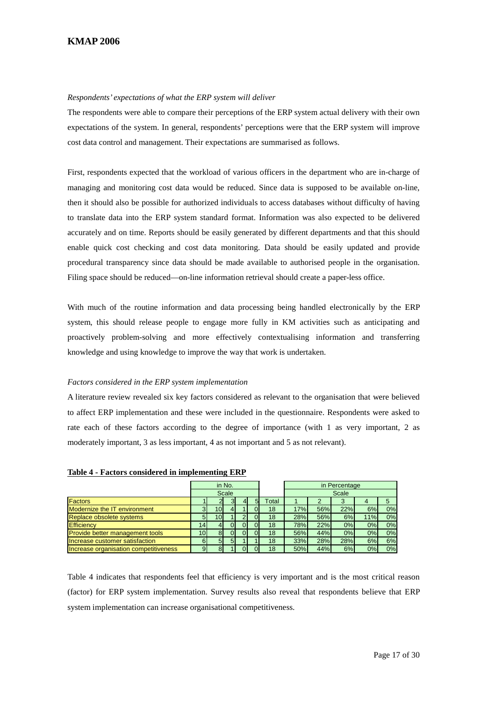#### *Respondents' expectations of what the ERP system will deliver*

The respondents were able to compare their perceptions of the ERP system actual delivery with their own expectations of the system. In general, respondents' perceptions were that the ERP system will improve cost data control and management. Their expectations are summarised as follows.

First, respondents expected that the workload of various officers in the department who are in-charge of managing and monitoring cost data would be reduced. Since data is supposed to be available on-line, then it should also be possible for authorized individuals to access databases without difficulty of having to translate data into the ERP system standard format. Information was also expected to be delivered accurately and on time. Reports should be easily generated by different departments and that this should enable quick cost checking and cost data monitoring. Data should be easily updated and provide procedural transparency since data should be made available to authorised people in the organisation. Filing space should be reduced—on-line information retrieval should create a paper-less office.

With much of the routine information and data processing being handled electronically by the ERP system, this should release people to engage more fully in KM activities such as anticipating and proactively problem-solving and more effectively contextualising information and transferring knowledge and using knowledge to improve the way that work is undertaken.

# *Factors considered in the ERP system implementation*

A literature review revealed six key factors considered as relevant to the organisation that were believed to affect ERP implementation and these were included in the questionnaire. Respondents were asked to rate each of these factors according to the degree of importance (with 1 as very important, 2 as moderately important, 3 as less important, 4 as not important and 5 as not relevant).

|                                        | in No.          |     |       |  |                |       | in Percentage |     |     |     |    |  |
|----------------------------------------|-----------------|-----|-------|--|----------------|-------|---------------|-----|-----|-----|----|--|
|                                        |                 |     | Scale |  |                |       | Scale         |     |     |     |    |  |
| <b>Factors</b>                         |                 |     |       |  | 5 <sub>l</sub> | Total |               |     |     |     |    |  |
| Modernize the IT environment           |                 | 10I |       |  |                | 18    | 17%           | 56% | 22% | 6%  | 0% |  |
| <b>Replace obsolete systems</b>        |                 | 10I |       |  |                | 18    | 28%           | 56% | 6%  | 11% | 0% |  |
| Efficiency                             | 14 <sub>1</sub> |     |       |  |                | 18    | 78%           | 22% | 0%  | 0%  | 0% |  |
| <b>Provide better management tools</b> | 10 <sub>l</sub> | 81  | 0     |  |                | 18    | 56%           | 44% | 0%  | 0%  | 0% |  |
| Increase customer satisfaction         |                 |     | 51    |  |                | 18    | 33%           | 28% | 28% | 6%  | 6% |  |
| Increase organisation competitiveness  |                 |     |       |  |                | 18    | 50%           | 44% | 6%  | 0%  | 0% |  |

**Table 4 - Factors considered in implementing ERP**

Table 4 indicates that respondents feel that efficiency is very important and is the most critical reason (factor) for ERP system implementation. Survey results also reveal that respondents believe that ERP system implementation can increase organisational competitiveness.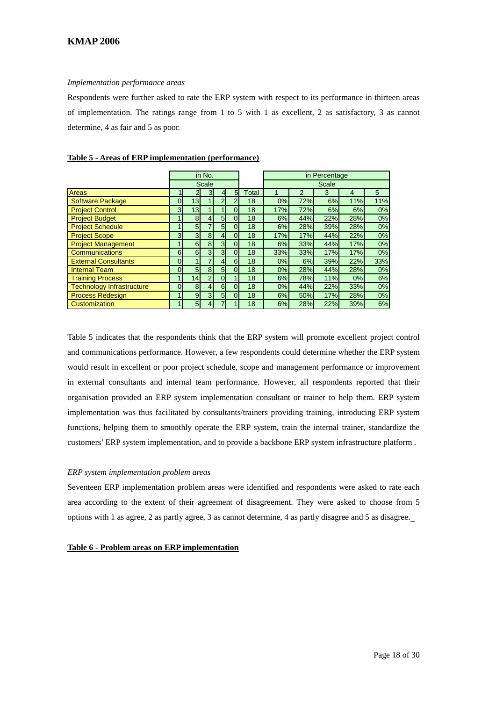#### *Implementation performance areas*

Respondents were further asked to rate the ERP system with respect to its performance in thirteen areas of implementation. The ratings range from 1 to 5 with 1 as excellent, 2 as satisfactory, 3 as cannot determine, 4 as fair and 5 as poor.

|                                  |                |                | in No.         |                 |          |              |       | in Percentage |     |     |     |  |  |
|----------------------------------|----------------|----------------|----------------|-----------------|----------|--------------|-------|---------------|-----|-----|-----|--|--|
|                                  |                |                | Scale          |                 |          |              | Scale |               |     |     |     |  |  |
| Areas                            |                |                | 3              | $\overline{4}$  | 5        | <b>Total</b> |       | $\mathcal{P}$ | 3   | 4   | 5   |  |  |
| <b>Software Package</b>          | 0              | 13             |                | $\overline{2}$  | ⌒        | 18           | 0%    | 72%           | 6%  | 11% | 11% |  |  |
| <b>Project Control</b>           | 3 <sup>1</sup> | 13             |                |                 | 0        | 18           | 17%   | 72%           | 6%  | 6%  | 0%  |  |  |
| <b>Project Budget</b>            |                | 8              |                | 5 <sub>l</sub>  | 0        | 18           | 6%    | 44%           | 22% | 28% | 0%  |  |  |
| <b>Project Schedule</b>          |                | 5 <sub>l</sub> |                | 5 <sub>l</sub>  | $\Omega$ | 18           | 6%    | 28%           | 39% | 28% | 0%  |  |  |
| <b>Project Scope</b>             | $\overline{3}$ | 3 <sup>1</sup> | 8              | $\overline{4}$  | 0        | 18           | 17%   | 17%           | 44% | 22% | 0%  |  |  |
| <b>Project Management</b>        |                | $6 \mid$       | 8              | 3 <sup>1</sup>  | ი        | 18           | 6%    | 33%           | 44% | 17% | 0%  |  |  |
| Communications                   | $6 \mid$       | $6 \mid$       | 3              | 3 <sup>1</sup>  | 0        | 18           | 33%   | 33%           | 17% | 17% | 0%  |  |  |
| <b>External Consultants</b>      | $\Omega$       |                |                | $\vert 4 \vert$ | 6        | 18           | 0%    | 6%            | 39% | 22% | 33% |  |  |
| <b>Internal Team</b>             | $\overline{0}$ | 5 <sup>5</sup> | 8              | 5 <sub>l</sub>  | 0        | 18           | 0%    | 28%           | 44% | 28% | 0%  |  |  |
| <b>Training Process</b>          |                | 14             | $\overline{2}$ | $\Omega$        |          | 18           | 6%    | 78%           | 11% | 0%  | 6%  |  |  |
| <b>Technology Infrastructure</b> | $\Omega$       | 8 <sup>1</sup> | 4              | 6 <sup>1</sup>  | $\Omega$ | 18           | 0%    | 44%           | 22% | 33% | 0%  |  |  |
| <b>Process Redesign</b>          |                | $\overline{9}$ | 3              | 5 <sub>l</sub>  | 0        | 18           | 6%    | 50%           | 17% | 28% | 0%  |  |  |
| Customization                    |                | 5 <sub>l</sub> |                |                 |          | 18           | 6%    | 28%           | 22% | 39% | 6%  |  |  |

## **Table 5 - Areas of ERP implementation (performance)**

Table 5 indicates that the respondents think that the ERP system will promote excellent project control and communications performance. However, a few respondents could determine whether the ERP system would result in excellent or poor project schedule, scope and management performance or improvement in external consultants and internal team performance. However, all respondents reported that their organisation provided an ERP system implementation consultant or trainer to help them. ERP system implementation was thus facilitated by consultants/trainers providing training, introducing ERP system functions, helping them to smoothly operate the ERP system, train the internal trainer, standardize the customers' ERP system implementation, and to provide a backbone ERP system infrastructure platform .

# *ERP system implementation problem areas*

Seventeen ERP implementation problem areas were identified and respondents were asked to rate each area according to the extent of their agreement of disagreement. They were asked to choose from 5 options with 1 as agree, 2 as partly agree, 3 as cannot determine, 4 as partly disagree and 5 as disagree.

#### **Table 6 - Problem areas on ERP implementation**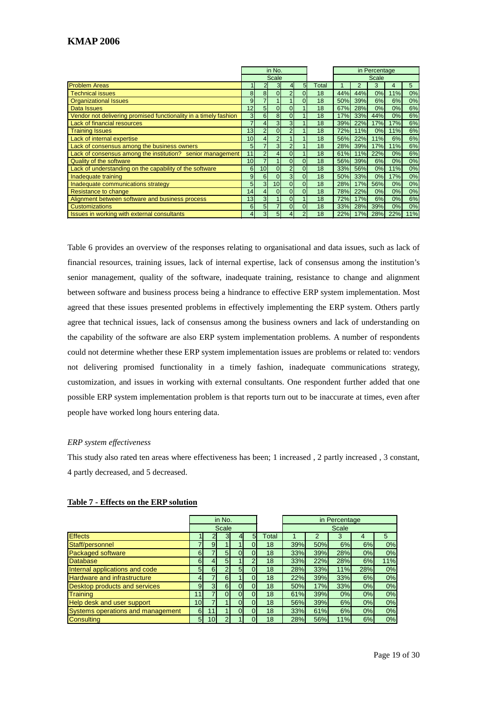|                                                                  |                 |                 | in No.         |                |                |       |       |     | in Percentage |     |     |
|------------------------------------------------------------------|-----------------|-----------------|----------------|----------------|----------------|-------|-------|-----|---------------|-----|-----|
|                                                                  |                 |                 | <b>Scale</b>   |                |                |       | Scale |     |               |     |     |
| <b>Problem Areas</b>                                             |                 | 2               | 3              | 41             | 5              | Total |       | 2   | 3             | 4   | 5   |
| <b>Technical issues</b>                                          | 8               | 8 <sup>1</sup>  | $\Omega$       | $\overline{2}$ | $\Omega$       | 18    | 44%   | 44% | 0%            | 11% | 0%  |
| <b>Organizational Issues</b>                                     | 9               |                 |                |                | $\Omega$       | 18    | 50%   | 39% | 6%            | 6%  | 0%  |
| Data Issues                                                      | 12              | 5 <sup>1</sup>  | $\overline{0}$ | $\overline{0}$ |                | 18    | 67%   | 28% | 0%            | 0%  | 6%  |
| Vendor not delivering promised functionality in a timely fashion | 3               | 6 <sup>1</sup>  | 8              | $\Omega$       |                | 18    | 17%   | 33% | 44%           | 0%  | 6%  |
| Lack of financial resources                                      | $\overline{7}$  | $\overline{4}$  | $\overline{3}$ | $\mathbf{3}$   |                | 18    | 39%   | 22% | 17%           | 17% | 6%  |
| <b>Training Issues</b>                                           | 13              | $\overline{2}$  | $\Omega$       | $\overline{2}$ |                | 18    | 72%   | 11% | 0%            | 11% | 6%  |
| Lack of internal expertise                                       | 10              | $\overline{4}$  | $\overline{2}$ |                |                | 18    | 56%   | 22% | 11%           | 6%  | 6%  |
| Lack of consensus among the business owners                      | 5               |                 | 3              | $\overline{2}$ |                | 18    | 28%   | 39% | 17%           | 11% | 6%  |
| Lack of consensus among the institution? senior management       | 11              | $\overline{2}$  | 4              | $\overline{0}$ |                | 18    | 61%   | 11% | 22%           | 0%  | 6%  |
| <b>Quality of the software</b>                                   | 10 <sup>1</sup> |                 |                | $\overline{0}$ | $\overline{0}$ | 18    | 56%   | 39% | 6%            | 0%  | 0%  |
| Lack of understanding on the capability of the software          | 6 <sup>1</sup>  | 10 <sup>1</sup> | $\Omega$       | $\overline{2}$ | $\Omega$       | 18    | 33%   | 56% | 0%            | 11% | 0%  |
| Inadequate training                                              | 9 <sub>1</sub>  | 6 <sup>1</sup>  | $\Omega$       | 3 <sup>1</sup> | $\Omega$       | 18    | 50%   | 33% | 0%            | 17% | 0%  |
| Inadequate communications strategy                               | 5               | 3 <sup>l</sup>  | 10             | $\overline{0}$ | $\Omega$       | 18    | 28%   | 17% | 56%           | 0%  | 0%  |
| Resistance to change                                             | 14              | $\overline{4}$  | $\overline{0}$ | $\overline{0}$ | $\Omega$       | 18    | 78%   | 22% | 0%            | 0%  | 0%  |
| Alignment between software and business process                  | 13              | 3 <sup>l</sup>  |                | $\overline{0}$ |                | 18    | 72%   | 17% | 6%            | 0%  | 6%  |
| <b>Customizations</b>                                            | 6               | 5 <sup>1</sup>  | 7              | $\Omega$       | $\Omega$       | 18    | 33%   | 28% | 39%           | 0%  | 0%  |
| Issues in working with external consultants                      | $\vert$         | 3 <sup>l</sup>  | 5 <sup>1</sup> |                | $\overline{2}$ | 18    | 22%   | 17% | 28%           | 22% | 11% |

Table 6 provides an overview of the responses relating to organisational and data issues, such as lack of financial resources, training issues, lack of internal expertise, lack of consensus among the institution's senior management, quality of the software, inadequate training, resistance to change and alignment between software and business process being a hindrance to effective ERP system implementation. Most agreed that these issues presented problems in effectively implementing the ERP system. Others partly agree that technical issues, lack of consensus among the business owners and lack of understanding on the capability of the software are also ERP system implementation problems. A number of respondents could not determine whether these ERP system implementation issues are problems or related to: vendors not delivering promised functionality in a timely fashion, inadequate communications strategy, customization, and issues in working with external consultants. One respondent further added that one possible ERP system implementation problem is that reports turn out to be inaccurate at times, even after people have worked long hours entering data.

#### *ERP system effectiveness*

This study also rated ten areas where effectiveness has been; 1 increased , 2 partly increased , 3 constant, 4 partly decreased, and 5 decreased.

|                                    |                 |                 | in No.         |                |          |       |              |     | in Percentage |     |     |
|------------------------------------|-----------------|-----------------|----------------|----------------|----------|-------|--------------|-----|---------------|-----|-----|
|                                    |                 |                 | Scale          |                |          |       | <b>Scale</b> |     |               |     |     |
| <b>Effects</b>                     |                 |                 | 3              |                | 5        | Total |              | 2   | 3             | 4   | 5   |
| Staff/personnel                    |                 | 9               |                |                |          | 18    | 39%          | 50% | 6%            | 6%  | 0%  |
| <b>Packaged software</b>           | $6 \mid$        |                 | 5 <sup>5</sup> |                |          | 18    | 33%          | 39% | 28%           | 0%  | 0%  |
| <b>Database</b>                    | 6               |                 | 5 <sup>5</sup> |                | 2        | 18    | 33%          | 22% | 28%           | 6%  | 11% |
| Internal applications and code     | 5 <sub>1</sub>  | 6               | $\overline{2}$ | 5 <sub>1</sub> | $\Omega$ | 18    | 28%          | 33% | 11%           | 28% | 0%  |
| <b>Hardware and infrastructure</b> | $\overline{4}$  |                 | 6              |                | $\Omega$ | 18    | 22%          | 39% | 33%           | 6%  | 0%  |
| Desktop products and services      | $\overline{9}$  | 3               | 6 <sup>1</sup> |                | $\Omega$ | 18    | 50%          | 17% | 33%           | 0%  | 0%  |
| <b>Training</b>                    | 11              |                 | $\Omega$       |                | 0        | 18    | 61%          | 39% | 0%            | 0%  | 0%  |
| Help desk and user support         | 10 <sup>1</sup> |                 |                |                | $\Omega$ | 18    | 56%          | 39% | 6%            | 0%  | 0%  |
| Systems operations and management  | $6 \mid$        |                 |                |                | $\Omega$ | 18    | 33%          | 61% | 6%            | 0%  | 0%  |
| <b>Consulting</b>                  | 5 <sub>l</sub>  | 10 <sub>l</sub> | 2 <sub>1</sub> |                |          | 18    | 28%          | 56% | 11%           | 6%  | 0%  |

#### **Table 7 - Effects on the ERP solution**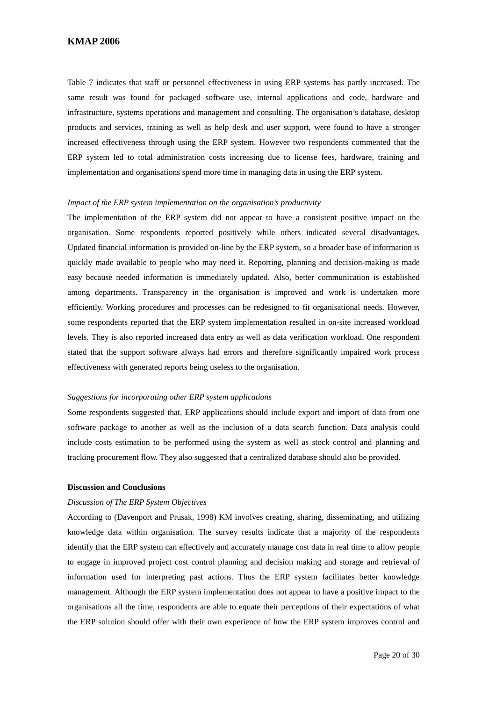Table 7 indicates that staff or personnel effectiveness in using ERP systems has partly increased. The same result was found for packaged software use, internal applications and code, hardware and infrastructure, systems operations and management and consulting. The organisation's database, desktop products and services, training as well as help desk and user support, were found to have a stronger increased effectiveness through using the ERP system. However two respondents commented that the ERP system led to total administration costs increasing due to license fees, hardware, training and implementation and organisations spend more time in managing data in using the ERP system.

#### *Impact of the ERP system implementation on the organisation's productivity*

The implementation of the ERP system did not appear to have a consistent positive impact on the organisation. Some respondents reported positively while others indicated several disadvantages. Updated financial information is provided on-line by the ERP system, so a broader base of information is quickly made available to people who may need it. Reporting, planning and decision-making is made easy because needed information is immediately updated. Also, better communication is established among departments. Transparency in the organisation is improved and work is undertaken more efficiently. Working procedures and processes can be redesigned to fit organisational needs. However, some respondents reported that the ERP system implementation resulted in on-site increased workload levels. They is also reported increased data entry as well as data verification workload. One respondent stated that the support software always had errors and therefore significantly impaired work process effectiveness with generated reports being useless to the organisation.

#### *Suggestions for incorporating other ERP system applications*

Some respondents suggested that, ERP applications should include export and import of data from one software package to another as well as the inclusion of a data search function. Data analysis could include costs estimation to be performed using the system as well as stock control and planning and tracking procurement flow. They also suggested that a centralized database should also be provided.

#### **Discussion and Conclusions**

#### *Discussion of The ERP System Objectives*

According to (Davenport and Prusak, 1998) KM involves creating, sharing, disseminating, and utilizing knowledge data within organisation. The survey results indicate that a majority of the respondents identify that the ERP system can effectively and accurately manage cost data in real time to allow people to engage in improved project cost control planning and decision making and storage and retrieval of information used for interpreting past actions. Thus the ERP system facilitates better knowledge management. Although the ERP system implementation does not appear to have a positive impact to the organisations all the time, respondents are able to equate their perceptions of their expectations of what the ERP solution should offer with their own experience of how the ERP system improves control and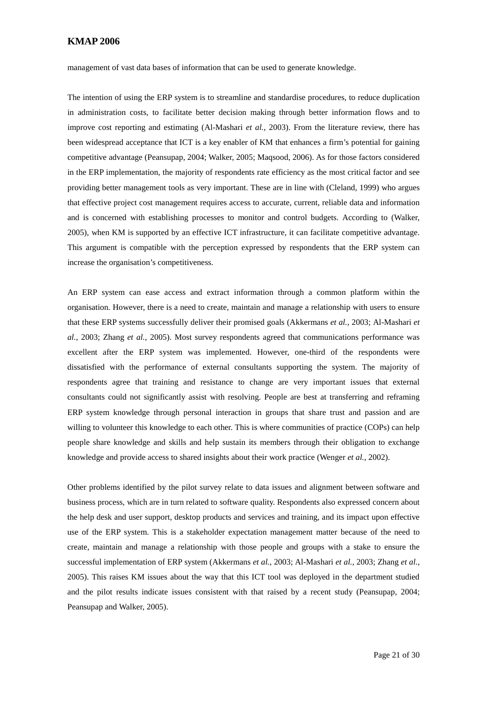management of vast data bases of information that can be used to generate knowledge.

The intention of using the ERP system is to streamline and standardise procedures, to reduce duplication in administration costs, to facilitate better decision making through better information flows and to improve cost reporting and estimating (Al-Mashari *et al.*, 2003). From the literature review, there has been widespread acceptance that ICT is a key enabler of KM that enhances a firm's potential for gaining competitive advantage (Peansupap, 2004; Walker, 2005; Maqsood, 2006). As for those factors considered in the ERP implementation, the majority of respondents rate efficiency as the most critical factor and see providing better management tools as very important. These are in line with (Cleland, 1999) who argues that effective project cost management requires access to accurate, current, reliable data and information and is concerned with establishing processes to monitor and control budgets. According to (Walker, 2005), when KM is supported by an effective ICT infrastructure, it can facilitate competitive advantage. This argument is compatible with the perception expressed by respondents that the ERP system can increase the organisation's competitiveness.

An ERP system can ease access and extract information through a common platform within the organisation. However, there is a need to create, maintain and manage a relationship with users to ensure that these ERP systems successfully deliver their promised goals (Akkermans *et al.*, 2003; Al-Mashari *et al.*, 2003; Zhang *et al.*, 2005). Most survey respondents agreed that communications performance was excellent after the ERP system was implemented. However, one-third of the respondents were dissatisfied with the performance of external consultants supporting the system. The majority of respondents agree that training and resistance to change are very important issues that external consultants could not significantly assist with resolving. People are best at transferring and reframing ERP system knowledge through personal interaction in groups that share trust and passion and are willing to volunteer this knowledge to each other. This is where communities of practice (COPs) can help people share knowledge and skills and help sustain its members through their obligation to exchange knowledge and provide access to shared insights about their work practice (Wenger *et al.*, 2002).

Other problems identified by the pilot survey relate to data issues and alignment between software and business process, which are in turn related to software quality. Respondents also expressed concern about the help desk and user support, desktop products and services and training, and its impact upon effective use of the ERP system. This is a stakeholder expectation management matter because of the need to create, maintain and manage a relationship with those people and groups with a stake to ensure the successful implementation of ERP system (Akkermans *et al.*, 2003; Al-Mashari *et al.*, 2003; Zhang *et al.*, 2005). This raises KM issues about the way that this ICT tool was deployed in the department studied and the pilot results indicate issues consistent with that raised by a recent study (Peansupap, 2004; Peansupap and Walker, 2005).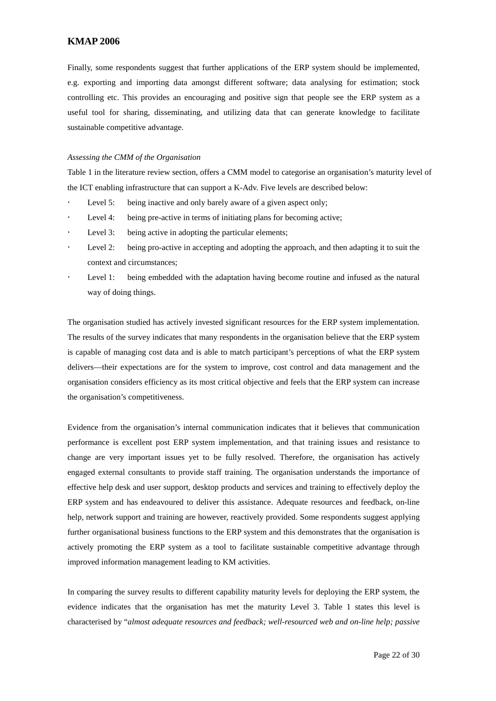Finally, some respondents suggest that further applications of the ERP system should be implemented, e.g. exporting and importing data amongst different software; data analysing for estimation; stock controlling etc. This provides an encouraging and positive sign that people see the ERP system as a useful tool for sharing, disseminating, and utilizing data that can generate knowledge to facilitate sustainable competitive advantage.

#### *Assessing the CMM of the Organisation*

[Table 1](#page-6-1) in the literature review section, offers a CMM model to categorise an organisation's maturity level of the ICT enabling infrastructure that can support a K-Adv. Five levels are described below:

- Level 5: being inactive and only barely aware of a given aspect only;
- Level 4: being pre-active in terms of initiating plans for becoming active;
- Level 3: being active in adopting the particular elements;
- Level 2: being pro-active in accepting and adopting the approach, and then adapting it to suit the context and circumstances;
- Level 1: being embedded with the adaptation having become routine and infused as the natural way of doing things.

The organisation studied has actively invested significant resources for the ERP system implementation. The results of the survey indicates that many respondents in the organisation believe that the ERP system is capable of managing cost data and is able to match participant's perceptions of what the ERP system delivers—their expectations are for the system to improve, cost control and data management and the organisation considers efficiency as its most critical objective and feels that the ERP system can increase the organisation's competitiveness.

Evidence from the organisation's internal communication indicates that it believes that communication performance is excellent post ERP system implementation, and that training issues and resistance to change are very important issues yet to be fully resolved. Therefore, the organisation has actively engaged external consultants to provide staff training. The organisation understands the importance of effective help desk and user support, desktop products and services and training to effectively deploy the ERP system and has endeavoured to deliver this assistance. Adequate resources and feedback, on-line help, network support and training are however, reactively provided. Some respondents suggest applying further organisational business functions to the ERP system and this demonstrates that the organisation is actively promoting the ERP system as a tool to facilitate sustainable competitive advantage through improved information management leading to KM activities.

In comparing the survey results to different capability maturity levels for deploying the ERP system, the evidence indicates that the organisation has met the maturity Level 3. Table 1 states this level is characterised by "*almost adequate resources and feedback; well-resourced web and on-line help; passive*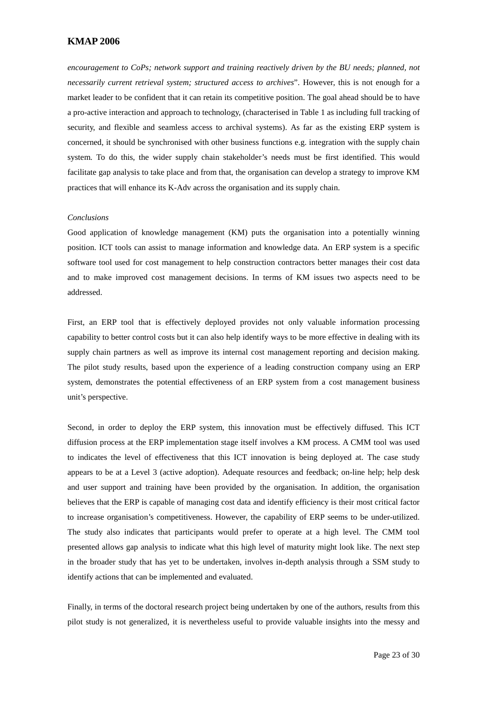*encouragement to CoPs; network support and training reactively driven by the BU needs; planned, not necessarily current retrieval system; structured access to archives*". However, this is not enough for a market leader to be confident that it can retain its competitive position. The goal ahead should be to have a pro-active interaction and approach to technology, (characterised in Table 1 as including full tracking of security, and flexible and seamless access to archival systems). As far as the existing ERP system is concerned, it should be synchronised with other business functions e.g. integration with the supply chain system. To do this, the wider supply chain stakeholder's needs must be first identified. This would facilitate gap analysis to take place and from that, the organisation can develop a strategy to improve KM practices that will enhance its K-Adv across the organisation and its supply chain.

#### *Conclusions*

Good application of knowledge management (KM) puts the organisation into a potentially winning position. ICT tools can assist to manage information and knowledge data. An ERP system is a specific software tool used for cost management to help construction contractors better manages their cost data and to make improved cost management decisions. In terms of KM issues two aspects need to be addressed.

First, an ERP tool that is effectively deployed provides not only valuable information processing capability to better control costs but it can also help identify ways to be more effective in dealing with its supply chain partners as well as improve its internal cost management reporting and decision making. The pilot study results, based upon the experience of a leading construction company using an ERP system, demonstrates the potential effectiveness of an ERP system from a cost management business unit's perspective.

Second, in order to deploy the ERP system, this innovation must be effectively diffused. This ICT diffusion process at the ERP implementation stage itself involves a KM process. A CMM tool was used to indicates the level of effectiveness that this ICT innovation is being deployed at. The case study appears to be at a Level 3 (active adoption). Adequate resources and feedback; on-line help; help desk and user support and training have been provided by the organisation. In addition, the organisation believes that the ERP is capable of managing cost data and identify efficiency is their most critical factor to increase organisation's competitiveness. However, the capability of ERP seems to be under-utilized. The study also indicates that participants would prefer to operate at a high level. The CMM tool presented allows gap analysis to indicate what this high level of maturity might look like. The next step in the broader study that has yet to be undertaken, involves in-depth analysis through a SSM study to identify actions that can be implemented and evaluated.

Finally, in terms of the doctoral research project being undertaken by one of the authors, results from this pilot study is not generalized, it is nevertheless useful to provide valuable insights into the messy and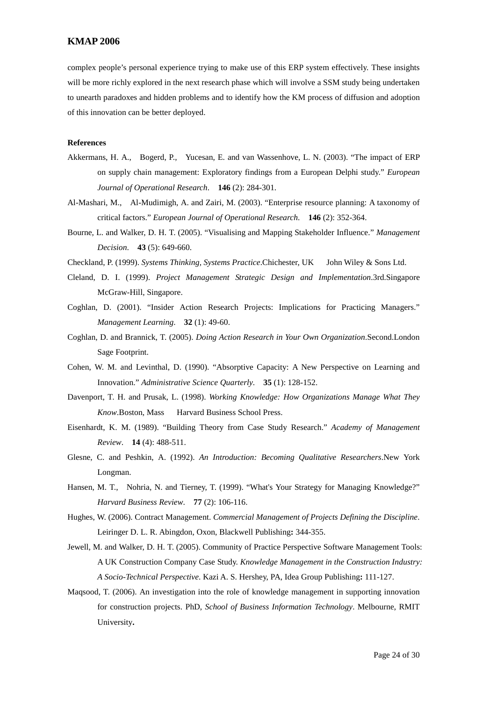complex people's personal experience trying to make use of this ERP system effectively. These insights will be more richly explored in the next research phase which will involve a SSM study being undertaken to unearth paradoxes and hidden problems and to identify how the KM process of diffusion and adoption of this innovation can be better deployed.

#### **References**

- Akkermans, H. A., Bogerd, P., Yucesan, E. and van Wassenhove, L. N. (2003). "The impact of ERP on supply chain management: Exploratory findings from a European Delphi study." *European Journal of Operational Research*. **146** (2): 284-301.
- Al-Mashari, M., Al-Mudimigh, A. and Zairi, M. (2003). "Enterprise resource planning: A taxonomy of critical factors." *European Journal of Operational Research*. **146** (2): 352-364.
- Bourne, L. and Walker, D. H. T. (2005). "Visualising and Mapping Stakeholder Influence." *Management Decision*. **43** (5): 649-660.
- Checkland, P. (1999). *Systems Thinking, Systems Practice*.Chichester, UK John Wiley & Sons Ltd.
- Cleland, D. I. (1999). *Project Management Strategic Design and Implementation*.3rd.Singapore McGraw-Hill, Singapore.
- Coghlan, D. (2001). "Insider Action Research Projects: Implications for Practicing Managers." *Management Learning*. **32** (1): 49-60.
- Coghlan, D. and Brannick, T. (2005). *Doing Action Research in Your Own Organization*.Second.London Sage Footprint.
- Cohen, W. M. and Levinthal, D. (1990). "Absorptive Capacity: A New Perspective on Learning and Innovation." *Administrative Science Quarterly*. **35** (1): 128-152.
- Davenport, T. H. and Prusak, L. (1998). *Working Knowledge: How Organizations Manage What They Know*.Boston, Mass Harvard Business School Press.
- Eisenhardt, K. M. (1989). "Building Theory from Case Study Research." *Academy of Management Review*. **14** (4): 488-511.
- Glesne, C. and Peshkin, A. (1992). *An Introduction: Becoming Qualitative Researchers*.New York Longman.
- Hansen, M. T., Nohria, N. and Tierney, T. (1999). "What's Your Strategy for Managing Knowledge?" *Harvard Business Review*. **77** (2): 106-116.
- Hughes, W. (2006). Contract Management. *Commercial Management of Projects Defining the Discipline*. Leiringer D. L. R. Abingdon, Oxon, Blackwell Publishing**:** 344-355.
- Jewell, M. and Walker, D. H. T. (2005). Community of Practice Perspective Software Management Tools: A UK Construction Company Case Study. *Knowledge Management in the Construction Industry: A Socio-Technical Perspective*. Kazi A. S. Hershey, PA, Idea Group Publishing**:** 111-127.
- Maqsood, T. (2006). An investigation into the role of knowledge management in supporting innovation for construction projects. PhD, *School of Business Information Technology*. Melbourne, RMIT University**.**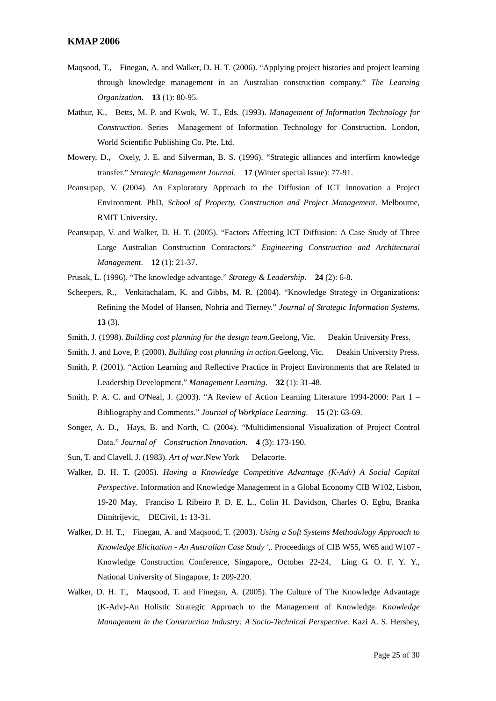- Maqsood, T., Finegan, A. and Walker, D. H. T. (2006). "Applying project histories and project learning through knowledge management in an Australian construction company." *The Learning Organization*. **13** (1): 80-95.
- Mathur, K., Betts, M. P. and Kwok, W. T., Eds. (1993). *Management of Information Technology for Construction*. Series Management of Information Technology for Construction. London, World Scientific Publishing Co. Pte. Ltd.
- Mowery, D., Oxely, J. E. and Silverman, B. S. (1996). "Strategic alliances and interfirm knowledge transfer." *Strategic Management Journal*. **17** (Winter special Issue): 77-91.
- Peansupap, V. (2004). An Exploratory Approach to the Diffusion of ICT Innovation a Project Environment. PhD, *School of Property, Construction and Project Management*. Melbourne, RMIT University**.**
- Peansupap, V. and Walker, D. H. T. (2005). "Factors Affecting ICT Diffusion: A Case Study of Three Large Australian Construction Contractors." *Engineering Construction and Architectural Management*. **12** (1): 21-37.
- Prusak, L. (1996). "The knowledge advantage." *Strategy & Leadership*. **24** (2): 6-8.
- Scheepers, R., Venkitachalam, K. and Gibbs, M. R. (2004). "Knowledge Strategy in Organizations: Refining the Model of Hansen, Nohria and Tierney." *Journal of Strategic Information Systems*. **13** (3).
- Smith, J. (1998). *Building cost planning for the design team*.Geelong, Vic. Deakin University Press.
- Smith, J. and Love, P. (2000). *Building cost planning in action*.Geelong, Vic. Deakin University Press.
- Smith, P. (2001). "Action Learning and Reflective Practice in Project Environments that are Related to Leadership Development." *Management Learning*. **32** (1): 31-48.
- Smith, P. A. C. and O'Neal, J. (2003). "A Review of Action Learning Literature 1994-2000: Part 1 Bibliography and Comments." *Journal of Workplace Learning*. **15** (2): 63-69.
- Songer, A. D., Hays, B. and North, C. (2004). "Multidimensional Visualization of Project Control Data." *Journal of Construction Innovation*. **4** (3): 173-190.
- Sun, T. and Clavell, J. (1983). *Art of war*.New York Delacorte.
- Walker, D. H. T. (2005). *Having a Knowledge Competitive Advantage (K-Adv) A Social Capital Perspective*. Information and Knowledge Management in a Global Economy CIB W102, Lisbon, 19-20 May, Franciso L Ribeiro P. D. E. L., Colin H. Davidson, Charles O. Egbu, Branka Dimitrijevic, DECivil, **1:** 13-31.
- Walker, D. H. T., Finegan, A. and Maqsood, T. (2003). *Using a Soft Systems Methodology Approach to Knowledge Elicitation - An Australian Case Study ',*. Proceedings of CIB W55, W65 and W107 - Knowledge Construction Conference, Singapore,, October 22-24, Ling G. O. F. Y. Y., National University of Singapore, **1:** 209-220.
- Walker, D. H. T., Maqsood, T. and Finegan, A. (2005). The Culture of The Knowledge Advantage (K-Adv)-An Holistic Strategic Approach to the Management of Knowledge. *Knowledge Management in the Construction Industry: A Socio-Technical Perspective*. Kazi A. S. Hershey,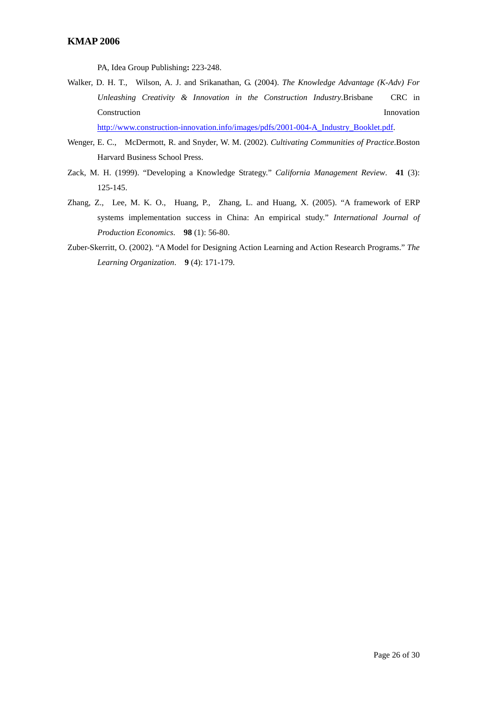PA, Idea Group Publishing**:** 223-248.

Walker, D. H. T., Wilson, A. J. and Srikanathan, G. (2004). *The Knowledge Advantage (K-Adv) For Unleashing Creativity & Innovation in the Construction Industry*.Brisbane CRC in Construction Innovation

[http://www.construction-innovation.info/images/pdfs/2001-004-A\\_Industry\\_Booklet.pdf.](http://www.construction-innovation.info/images/pdfs/2001-004-A_Industry_Booklet.pdf)

- Wenger, E. C., McDermott, R. and Snyder, W. M. (2002). *Cultivating Communities of Practice*.Boston Harvard Business School Press.
- Zack, M. H. (1999). "Developing a Knowledge Strategy." *California Management Review*. **41** (3): 125-145.
- Zhang, Z., Lee, M. K. O., Huang, P., Zhang, L. and Huang, X. (2005). "A framework of ERP systems implementation success in China: An empirical study." *International Journal of Production Economics*. **98** (1): 56-80.
- Zuber-Skerritt, O. (2002). "A Model for Designing Action Learning and Action Research Programs." *The Learning Organization*. **9** (4): 171-179.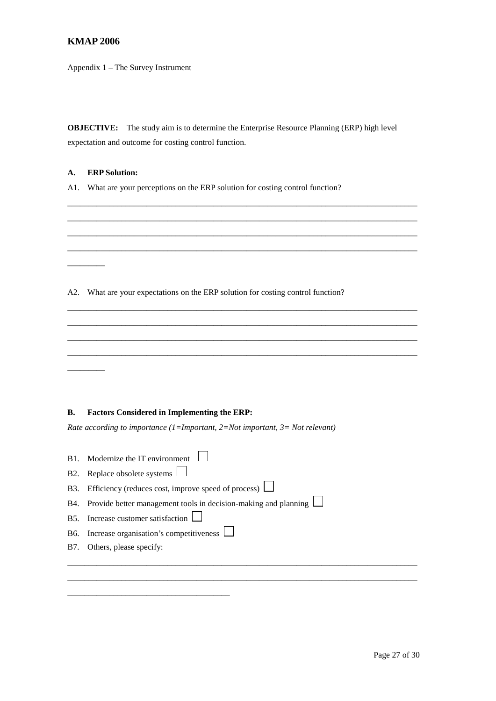Appendix 1 – The Survey Instrument

**OBJECTIVE:** The study aim is to determine the Enterprise Resource Planning (ERP) high level expectation and outcome for costing control function.

\_\_\_\_\_\_\_\_\_\_\_\_\_\_\_\_\_\_\_\_\_\_\_\_\_\_\_\_\_\_\_\_\_\_\_\_\_\_\_\_\_\_\_\_\_\_\_\_\_\_\_\_\_\_\_\_\_\_\_\_\_\_\_\_\_\_\_\_\_\_\_\_\_\_\_\_\_\_\_\_\_\_\_\_

# **A. ERP Solution:**

A1. What are your perceptions on the ERP solution for costing control function?

| A2.              | What are your expectations on the ERP solution for costing control function? |
|------------------|------------------------------------------------------------------------------|
|                  |                                                                              |
|                  |                                                                              |
|                  |                                                                              |
|                  |                                                                              |
|                  |                                                                              |
|                  |                                                                              |
| <b>B.</b>        | <b>Factors Considered in Implementing the ERP:</b>                           |
|                  | Rate according to importance (1=Important, 2=Not important, 3= Not relevant) |
|                  |                                                                              |
| B1.              | Modernize the IT environment                                                 |
| B <sub>2</sub> . | Replace obsolete systems                                                     |
| <b>B</b> 3.      | Efficiency (reduces cost, improve speed of process) $\Box$                   |
| <b>B</b> 4.      | Provide better management tools in decision-making and planning $\Box$       |
| <b>B5.</b>       | Increase customer satisfaction                                               |

\_\_\_\_\_\_\_\_\_\_\_\_\_\_\_\_\_\_\_\_\_\_\_\_\_\_\_\_\_\_\_\_\_\_\_\_\_\_\_\_\_\_\_\_\_\_\_\_\_\_\_\_\_\_\_\_\_\_\_\_\_\_\_\_\_\_\_\_\_\_\_\_\_\_\_\_\_\_\_\_\_\_\_\_ \_\_\_\_\_\_\_\_\_\_\_\_\_\_\_\_\_\_\_\_\_\_\_\_\_\_\_\_\_\_\_\_\_\_\_\_\_\_\_\_\_\_\_\_\_\_\_\_\_\_\_\_\_\_\_\_\_\_\_\_\_\_\_\_\_\_\_\_\_\_\_\_\_\_\_\_\_\_\_\_\_\_\_\_

B6. Increase organisation's competitiveness  $\Box$ 

\_\_\_\_\_\_\_\_\_\_\_\_\_\_\_\_\_\_\_\_\_\_\_\_\_\_\_\_\_\_\_\_\_\_\_\_\_\_\_

B7. Others, please specify: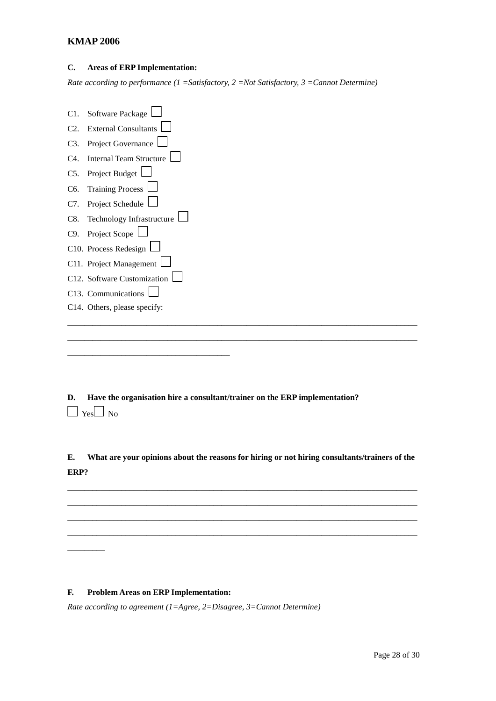# **C. Areas of ERP Implementation:**

*Rate according to performance (1 =Satisfactory, 2 =Not Satisfactory, 3 =Cannot Determine)*

| C1.              | Software Package               |
|------------------|--------------------------------|
| C <sub>2</sub>   | <b>External Consultants</b>    |
| C3.              | Project Governance             |
| C4.              | <b>Internal Team Structure</b> |
| C5.              | Project Budget                 |
| C <sub>6</sub> . | <b>Training Process</b>        |
| C7.              | Project Schedule               |
| C8.              | Technology Infrastructure      |
| C9.              | Project Scope                  |
|                  | C10. Process Redesign          |
|                  | C11. Project Management        |
|                  | C12. Software Customization    |
|                  | C13. Communications            |
|                  | C14. Others, please specify:   |
|                  |                                |
|                  |                                |

**D. Have the organisation hire a consultant/trainer on the ERP implementation?**  $\Box$  Yes $\Box$  No

**E. What are your opinions about the reasons for hiring or not hiring consultants/trainers of the ERP?**

\_\_\_\_\_\_\_\_\_\_\_\_\_\_\_\_\_\_\_\_\_\_\_\_\_\_\_\_\_\_\_\_\_\_\_\_\_\_\_\_\_\_\_\_\_\_\_\_\_\_\_\_\_\_\_\_\_\_\_\_\_\_\_\_\_\_\_\_\_\_\_\_\_\_\_\_\_\_\_\_\_\_\_\_ \_\_\_\_\_\_\_\_\_\_\_\_\_\_\_\_\_\_\_\_\_\_\_\_\_\_\_\_\_\_\_\_\_\_\_\_\_\_\_\_\_\_\_\_\_\_\_\_\_\_\_\_\_\_\_\_\_\_\_\_\_\_\_\_\_\_\_\_\_\_\_\_\_\_\_\_\_\_\_\_\_\_\_\_ \_\_\_\_\_\_\_\_\_\_\_\_\_\_\_\_\_\_\_\_\_\_\_\_\_\_\_\_\_\_\_\_\_\_\_\_\_\_\_\_\_\_\_\_\_\_\_\_\_\_\_\_\_\_\_\_\_\_\_\_\_\_\_\_\_\_\_\_\_\_\_\_\_\_\_\_\_\_\_\_\_\_\_\_ \_\_\_\_\_\_\_\_\_\_\_\_\_\_\_\_\_\_\_\_\_\_\_\_\_\_\_\_\_\_\_\_\_\_\_\_\_\_\_\_\_\_\_\_\_\_\_\_\_\_\_\_\_\_\_\_\_\_\_\_\_\_\_\_\_\_\_\_\_\_\_\_\_\_\_\_\_\_\_\_\_\_\_\_

# **F. Problem Areas on ERP Implementation:**

 $\overline{\phantom{a}}$ 

\_\_\_\_\_\_\_\_\_\_\_\_\_\_\_\_\_\_\_\_\_\_\_\_\_\_\_\_\_\_\_\_\_\_\_\_\_\_\_

*Rate according to agreement (1=Agree, 2=Disagree, 3=Cannot Determine)*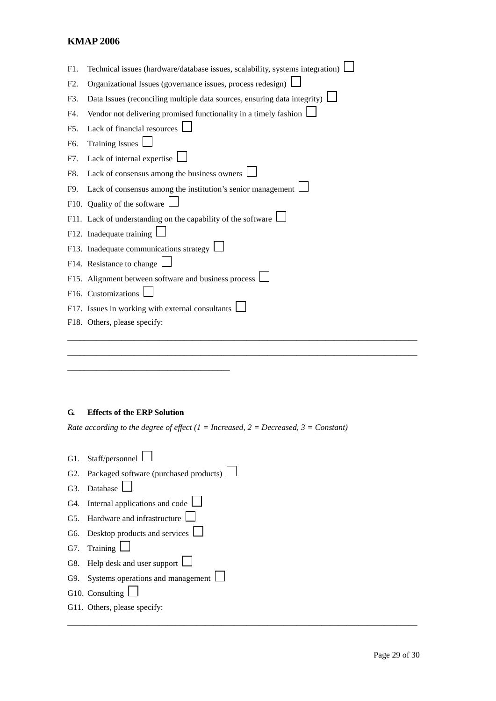| F1. | Technical issues (hardware/database issues, scalability, systems integration)   |
|-----|---------------------------------------------------------------------------------|
| F2. | Organizational Issues (governance issues, process redesign) $\Box$              |
| F3. | Data Issues (reconciling multiple data sources, ensuring data integrity) $\Box$ |
| F4. | Vendor not delivering promised functionality in a timely fashion                |
| F5. | Lack of financial resources                                                     |
| F6. | Training Issues $\Box$                                                          |
| F7. | Lack of internal expertise $\Box$                                               |
| F8. | Lack of consensus among the business owners L                                   |
| F9. | Lack of consensus among the institution's senior management $\Box$              |
|     | F10. Quality of the software                                                    |
|     | F11. Lack of understanding on the capability of the software l                  |
|     | F12. Inadequate training                                                        |
|     | F13. Inadequate communications strategy $\Box$                                  |
|     | F14. Resistance to change                                                       |
|     | F15. Alignment between software and business process $\Box$                     |
|     | F16. Customizations                                                             |
|     | F17. Issues in working with external consultants                                |
|     | F18. Others, please specify:                                                    |
|     |                                                                                 |

\_\_\_\_\_\_\_\_\_\_\_\_\_\_\_\_\_\_\_\_\_\_\_\_\_\_\_\_\_\_\_\_\_\_\_\_\_\_\_\_\_\_\_\_\_\_\_\_\_\_\_\_\_\_\_\_\_\_\_\_\_\_\_\_\_\_\_\_\_\_\_\_\_\_\_\_\_\_\_\_\_\_\_\_

\_\_\_\_\_\_\_\_\_\_\_\_\_\_\_\_\_\_\_\_\_\_\_\_\_\_\_\_\_\_\_\_\_\_\_\_\_\_\_\_\_\_\_\_\_\_\_\_\_\_\_\_\_\_\_\_\_\_\_\_\_\_\_\_\_\_\_\_\_\_\_\_\_\_\_\_\_\_\_\_\_\_\_\_

# **G. Effects of the ERP Solution**

\_\_\_\_\_\_\_\_\_\_\_\_\_\_\_\_\_\_\_\_\_\_\_\_\_\_\_\_\_\_\_\_\_\_\_\_\_\_\_

*Rate according to the degree of effect (1 = Increased, 2 = Decreased, 3 = Constant)*

| G1. Staff/personnel                               |
|---------------------------------------------------|
| G2. Packaged software (purchased products) $\Box$ |
| G3. Database                                      |
| G4. Internal applications and code $\Box$         |
| G5. Hardware and infrastructure                   |
| G6. Desktop products and services $\Box$          |
| G7. Training $\Box$                               |
| G8. Help desk and user support $\Box$             |
| G9. Systems operations and management $\Box$      |
| G10. Consulting                                   |
| G11. Others, please specify:                      |
|                                                   |